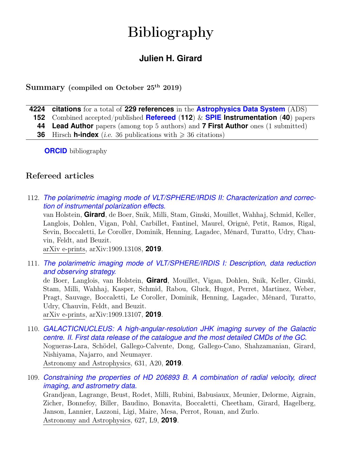# Bibliography

# **Julien H. Girard**

## Summary (compiled on October 25<sup>th</sup> 2019)

- **4224 citations** for a total of **229 references** in the **[Astrophysics Data System](https://ui.adsabs.harvard.edu/user/libraries/t3Of3m7MTgqTZWY25g_dig)** (ADS)
	- **152** Combined accepted/published **[Refereed](http://www.juliengirard.space/refereed-articles.html)** (**112**) & **[SPIE](http://spie.org/profile/juliengirard) Instrumentation** (**40**) papers
	- **44 Lead Author** papers (among top 5 authors) and **7 First Author** ones (1 submitted)
	- **36** Hirsch **h-index** (*i.e.* 36 publications with  $\geq 36$  citations)

**[ORCID](https://orcid.org/0000-0001-8627-0404)** bibliography

## Refereed articles

112. *[The polarimetric imaging mode of VLT/SPHERE/IRDIS II: Characterization and correc](https://ui.adsabs.harvard.edu/abs/2019arXiv190913108V)[tion of instrumental polarization effects.](https://ui.adsabs.harvard.edu/abs/2019arXiv190913108V)*

van Holstein, **Girard**, de Boer, Snik, Milli, Stam, Ginski, Mouillet, Wahhaj, Schmid, Keller, Langlois, Dohlen, Vigan, Pohl, Carbillet, Fantinel, Maurel, Origné, Petit, Ramos, Rigal, Sevin, Boccaletti, Le Coroller, Dominik, Henning, Lagadec, Ménard, Turatto, Udry, Chauvin, Feldt, and Beuzit.

arXiv e-prints, arXiv:1909.13108, **2019**.

111. *[The polarimetric imaging mode of VLT/SPHERE/IRDIS I: Description, data reduction](https://ui.adsabs.harvard.edu/abs/2019arXiv190913107D) [and observing strategy.](https://ui.adsabs.harvard.edu/abs/2019arXiv190913107D)*

de Boer, Langlois, van Holstein, **Girard**, Mouillet, Vigan, Dohlen, Snik, Keller, Ginski, Stam, Milli, Wahhaj, Kasper, Schmid, Rabou, Gluck, Hugot, Perret, Martinez, Weber, Pragt, Sauvage, Boccaletti, Le Coroller, Dominik, Henning, Lagadec, Ménard, Turatto, Udry, Chauvin, Feldt, and Beuzit. arXiv e-prints, arXiv:1909.13107, **2019**.

110. *[GALACTICNUCLEUS: A high-angular-resolution JHK imaging survey of the Galactic](https://ui.adsabs.harvard.edu/abs/2019A%26A...631A..20N) [centre. II. First data release of the catalogue and the most detailed CMDs of the GC.](https://ui.adsabs.harvard.edu/abs/2019A%26A...631A..20N)*

Nogueras-Lara, Schödel, Gallego-Calvente, Dong, Gallego-Cano, Shahzamanian, Girard, Nishiyama, Najarro, and Neumayer.

Astronomy and Astrophysics, 631, A20, **2019**.

109. *[Constraining the properties of HD 206893 B. A combination of radial velocity, direct](https://ui.adsabs.harvard.edu/abs/2019A%26A...627L...9G) [imaging, and astrometry data.](https://ui.adsabs.harvard.edu/abs/2019A%26A...627L...9G)*

Grandjean, Lagrange, Beust, Rodet, Milli, Rubini, Babusiaux, Meunier, Delorme, Aigrain, Zicher, Bonnefoy, Biller, Baudino, Bonavita, Boccaletti, Cheetham, Girard, Hagelberg, Janson, Lannier, Lazzoni, Ligi, Maire, Mesa, Perrot, Rouan, and Zurlo. Astronomy and Astrophysics, 627, L9, **2019**.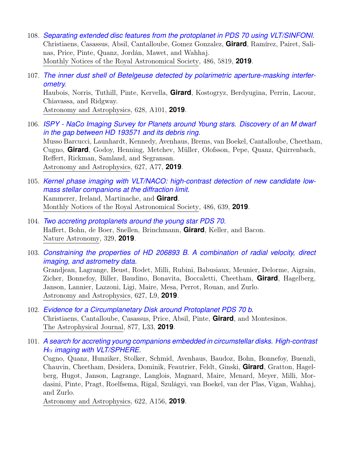- 108. *[Separating extended disc features from the protoplanet in PDS 70 using VLT/SINFONI.](https://ui.adsabs.harvard.edu/abs/2019MNRAS.486.5819C)* Christiaens, Casassus, Absil, Cantalloube, Gomez Gonzalez, **Girard**, Ramírez, Pairet, Salinas, Price, Pinte, Quanz, Jordán, Mawet, and Wahhaj. Monthly Notices of the Royal Astronomical Society, 486, 5819, **2019**.
- 107. *[The inner dust shell of Betelgeuse detected by polarimetric aperture-masking interfer](https://ui.adsabs.harvard.edu/abs/2019arXiv190708594H)[ometry.](https://ui.adsabs.harvard.edu/abs/2019arXiv190708594H)* Haubois, Norris, Tuthill, Pinte, Kervella, **Girard**, Kostogryz, Berdyugina, Perrin, Lacour, Chiavassa, and Ridgway. Astronomy and Astrophysics, 628, A101, **2019**.
- 106. *[ISPY NaCo Imaging Survey for Planets around Young stars. Discovery of an M dwarf](https://ui.adsabs.harvard.edu/abs/2019A&A...627A..77M) [in the gap between HD 193571 and its debris ring.](https://ui.adsabs.harvard.edu/abs/2019A&A...627A..77M)* Musso Barcucci, Launhardt, Kennedy, Avenhaus, Brems, van Boekel, Cantalloube, Cheetham, Cugno, **Girard**, Godoy, Henning, Metchev, Müller, Olofsson, Pepe, Quanz, Quirrenbach, Reffert, Rickman, Samland, and Segransan. Astronomy and Astrophysics, 627, A77, **2019**.
- 105. *[Kernel phase imaging with VLT/NACO: high-contrast detection of new candidate low](https://ui.adsabs.harvard.edu/abs/2019MNRAS.486..639K)[mass stellar companions at the diffraction limit.](https://ui.adsabs.harvard.edu/abs/2019MNRAS.486..639K)* Kammerer, Ireland, Martinache, and **Girard**. Monthly Notices of the Royal Astronomical Society, 486, 639, **2019**.
- 104. *[Two accreting protoplanets around the young star PDS 70.](https://ui.adsabs.harvard.edu/abs/2019NatAs.tmp..329H)* Haffert, Bohn, de Boer, Snellen, Brinchmann, **Girard**, Keller, and Bacon. Nature Astronomy, 329, **2019**.
- 103. *[Constraining the properties of HD 206893 B. A combination of radial velocity, direct](https://ui.adsabs.harvard.edu/abs/2019A&A...627L...9G) [imaging, and astrometry data.](https://ui.adsabs.harvard.edu/abs/2019A&A...627L...9G)* Grandjean, Lagrange, Beust, Rodet, Milli, Rubini, Babusiaux, Meunier, Delorme, Aigrain, Zicher, Bonnefoy, Biller, Baudino, Bonavita, Boccaletti, Cheetham, **Girard**, Hagelberg, Janson, Lannier, Lazzoni, Ligi, Maire, Mesa, Perrot, Rouan, and Zurlo. Astronomy and Astrophysics, 627, L9, **2019**.
- 102. *[Evidence for a Circumplanetary Disk around Protoplanet PDS 70 b.](https://ui.adsabs.harvard.edu/abs/2019ApJ...877L..33C)* Christiaens, Cantalloube, Casassus, Price, Absil, Pinte, **Girard**, and Montesinos. The Astrophysical Journal, 877, L33, **2019**.
- 101. *[A search for accreting young companions embedded in circumstellar disks. High-contrast](https://ui.adsabs.harvard.edu/abs/2019A&A...622A.156C) H*α *[imaging with VLT/SPHERE.](https://ui.adsabs.harvard.edu/abs/2019A&A...622A.156C)*

Cugno, Quanz, Hunziker, Stolker, Schmid, Avenhaus, Baudoz, Bohn, Bonnefoy, Buenzli, Chauvin, Cheetham, Desidera, Dominik, Feautrier, Feldt, Ginski, **Girard**, Gratton, Hagelberg, Hugot, Janson, Lagrange, Langlois, Magnard, Maire, Menard, Meyer, Milli, Mordasini, Pinte, Pragt, Roelfsema, Rigal, Szulágyi, van Boekel, van der Plas, Vigan, Wahhaj, and Zurlo.

Astronomy and Astrophysics, 622, A156, **2019**.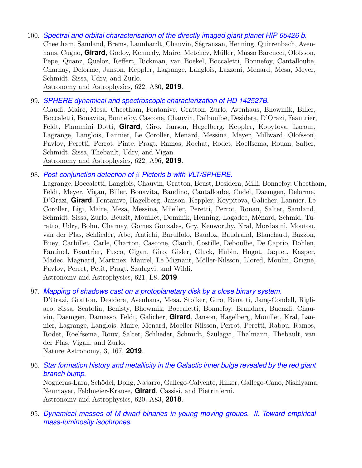100. *[Spectral and orbital characterisation of the directly imaged giant planet HIP 65426 b.](https://ui.adsabs.harvard.edu/abs/2019A&A...622A..80C)* Cheetham, Samland, Brems, Launhardt, Chauvin, Ségransan, Henning, Quirrenbach, Avenhaus, Cugno, **Girard**, Godoy, Kennedy, Maire, Metchev, Müller, Musso Barcucci, Olofsson, Pepe, Quanz, Queloz, Reffert, Rickman, van Boekel, Boccaletti, Bonnefoy, Cantalloube, Charnay, Delorme, Janson, Keppler, Lagrange, Langlois, Lazzoni, Menard, Mesa, Meyer, Schmidt, Sissa, Udry, and Zurlo.

Astronomy and Astrophysics, 622, A80, **2019**.

99. *[SPHERE dynamical and spectroscopic characterization of HD 142527B.](https://ui.adsabs.harvard.edu/abs/2019A&A...622A..96C)*

Claudi, Maire, Mesa, Cheetham, Fontanive, Gratton, Zurlo, Avenhaus, Bhowmik, Biller, Boccaletti, Bonavita, Bonnefoy, Cascone, Chauvin, Delboulbé, Desidera, D'Orazi, Feautrier, Feldt, Flammini Dotti, **Girard**, Giro, Janson, Hagelberg, Keppler, Kopytova, Lacour, Lagrange, Langlois, Lannier, Le Coroller, Menard, Messina, Meyer, Millward, Olofsson, Pavlov, Peretti, Perrot, Pinte, Pragt, Ramos, Rochat, Rodet, Roelfsema, Rouan, Salter, Schmidt, Sissa, Thebault, Udry, and Vigan. Astronomy and Astrophysics, 622, A96, **2019**.

98. *Post-conjunction detection of* β *[Pictoris b with VLT/SPHERE.](https://ui.adsabs.harvard.edu/abs/2019A&A...621L...8L)*

Lagrange, Boccaletti, Langlois, Chauvin, Gratton, Beust, Desidera, Milli, Bonnefoy, Cheetham, Feldt, Meyer, Vigan, Biller, Bonavita, Baudino, Cantalloube, Cudel, Daemgen, Delorme, D'Orazi, **Girard**, Fontanive, Hagelberg, Janson, Keppler, Koypitova, Galicher, Lannier, Le Coroller, Ligi, Maire, Mesa, Messina, Müeller, Peretti, Perrot, Rouan, Salter, Samland, Schmidt, Sissa, Zurlo, Beuzit, Mouillet, Dominik, Henning, Lagadec, Ménard, Schmid, Turatto, Udry, Bohn, Charnay, Gomez Gonzales, Gry, Kenworthy, Kral, Mordasini, Moutou, van der Plas, Schlieder, Abe, Antichi, Baruffolo, Baudoz, Baudrand, Blanchard, Bazzon, Buey, Carbillet, Carle, Charton, Cascone, Claudi, Costille, Deboulbe, De Caprio, Dohlen, Fantinel, Feautrier, Fusco, Gigan, Giro, Gisler, Gluck, Hubin, Hugot, Jaquet, Kasper, Madec, Magnard, Martinez, Maurel, Le Mignant, Möller-Nilsson, Llored, Moulin, Origné, Pavlov, Perret, Petit, Pragt, Szulagyi, and Wildi. Astronomy and Astrophysics, 621, L8, **2019**.

97. *[Mapping of shadows cast on a protoplanetary disk by a close binary system.](https://ui.adsabs.harvard.edu/abs/2019NatAs...3..167D)*

D'Orazi, Gratton, Desidera, Avenhaus, Mesa, Stolker, Giro, Benatti, Jang-Condell, Rigliaco, Sissa, Scatolin, Benisty, Bhowmik, Boccaletti, Bonnefoy, Brandner, Buenzli, Chauvin, Daemgen, Damasso, Feldt, Galicher, **Girard**, Janson, Hagelberg, Mouillet, Kral, Lannier, Lagrange, Langlois, Maire, Menard, Moeller-Nilsson, Perrot, Peretti, Rabou, Ramos, Rodet, Roelfsema, Roux, Salter, Schlieder, Schmidt, Szulagyi, Thalmann, Thebault, van der Plas, Vigan, and Zurlo.

Nature Astronomy, 3, 167, **2019**.

96. *[Star formation history and metallicity in the Galactic inner bulge revealed by the red giant](https://ui.adsabs.harvard.edu/abs/2018A&A...620A..83N) [branch bump.](https://ui.adsabs.harvard.edu/abs/2018A&A...620A..83N)*

Nogueras-Lara, Schödel, Dong, Najarro, Gallego-Calvente, Hilker, Gallego-Cano, Nishiyama, Neumayer, Feldmeier-Krause, **Girard**, Cassisi, and Pietrinferni. Astronomy and Astrophysics, 620, A83, **2018**.

95. *[Dynamical masses of M-dwarf binaries in young moving groups. II. Toward empirical](https://ui.adsabs.harvard.edu/abs/2018A&A...620A..33J) [mass-luminosity isochrones.](https://ui.adsabs.harvard.edu/abs/2018A&A...620A..33J)*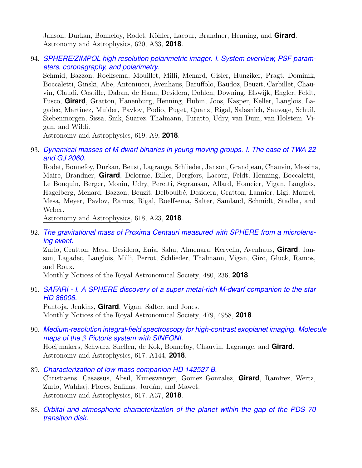Janson, Durkan, Bonnefoy, Rodet, Köhler, Lacour, Brandner, Henning, and **Girard**. Astronomy and Astrophysics, 620, A33, **2018**.

94. *[SPHERE/ZIMPOL high resolution polarimetric imager. I. System overview, PSF param](https://ui.adsabs.harvard.edu/abs/2018A&A...619A...9S)[eters, coronagraphy, and polarimetry.](https://ui.adsabs.harvard.edu/abs/2018A&A...619A...9S)*

Schmid, Bazzon, Roelfsema, Mouillet, Milli, Menard, Gisler, Hunziker, Pragt, Dominik, Boccaletti, Ginski, Abe, Antoniucci, Avenhaus, Baruffolo, Baudoz, Beuzit, Carbillet, Chauvin, Claudi, Costille, Daban, de Haan, Desidera, Dohlen, Downing, Elswijk, Engler, Feldt, Fusco, **Girard**, Gratton, Hanenburg, Henning, Hubin, Joos, Kasper, Keller, Langlois, Lagadec, Martinez, Mulder, Pavlov, Podio, Puget, Quanz, Rigal, Salasnich, Sauvage, Schuil, Siebenmorgen, Sissa, Snik, Suarez, Thalmann, Turatto, Udry, van Duin, van Holstein, Vigan, and Wildi.

Astronomy and Astrophysics, 619, A9, **2018**.

93. *[Dynamical masses of M-dwarf binaries in young moving groups. I. The case of TWA 22](https://ui.adsabs.harvard.edu/abs/2018A&A...618A..23R) [and GJ 2060.](https://ui.adsabs.harvard.edu/abs/2018A&A...618A..23R)*

Rodet, Bonnefoy, Durkan, Beust, Lagrange, Schlieder, Janson, Grandjean, Chauvin, Messina, Maire, Brandner, **Girard**, Delorme, Biller, Bergfors, Lacour, Feldt, Henning, Boccaletti, Le Bouquin, Berger, Monin, Udry, Peretti, Segransan, Allard, Homeier, Vigan, Langlois, Hagelberg, Menard, Bazzon, Beuzit, Delboulbé, Desidera, Gratton, Lannier, Ligi, Maurel, Mesa, Meyer, Pavlov, Ramos, Rigal, Roelfsema, Salter, Samland, Schmidt, Stadler, and Weber.

Astronomy and Astrophysics, 618, A23, **2018**.

92. *[The gravitational mass of Proxima Centauri measured with SPHERE from a microlens](https://ui.adsabs.harvard.edu/abs/2018MNRAS.480..236Z)[ing event.](https://ui.adsabs.harvard.edu/abs/2018MNRAS.480..236Z)*

Zurlo, Gratton, Mesa, Desidera, Enia, Sahu, Almenara, Kervella, Avenhaus, **Girard**, Janson, Lagadec, Langlois, Milli, Perrot, Schlieder, Thalmann, Vigan, Giro, Gluck, Ramos, and Roux.

Monthly Notices of the Royal Astronomical Society, 480, 236, **2018**.

91. *[SAFARI - I. A SPHERE discovery of a super metal-rich M-dwarf companion to the star](https://ui.adsabs.harvard.edu/abs/2018MNRAS.479.4958P) [HD 86006.](https://ui.adsabs.harvard.edu/abs/2018MNRAS.479.4958P)*

Pantoja, Jenkins, **Girard**, Vigan, Salter, and Jones. Monthly Notices of the Royal Astronomical Society, 479, 4958, **2018**.

90. *[Medium-resolution integral-field spectroscopy for high-contrast exoplanet imaging. Molec](https://ui.adsabs.harvard.edu/abs/2018A&A...617A.144H)ule maps of the* β *[Pictoris system with SINFONI.](https://ui.adsabs.harvard.edu/abs/2018A&A...617A.144H)* Hoeijmakers, Schwarz, Snellen, de Kok, Bonnefoy, Chauvin, Lagrange, and **Girard**.

Astronomy and Astrophysics, 617, A144, **2018**.

- 89. *[Characterization of low-mass companion HD 142527 B.](https://ui.adsabs.harvard.edu/abs/2018A&A...617A..37C)* Christiaens, Casassus, Absil, Kimeswenger, Gomez Gonzalez, **Girard**, Ramírez, Wertz, Zurlo, Wahhaj, Flores, Salinas, Jordán, and Mawet. Astronomy and Astrophysics, 617, A37, **2018**.
- 88. *[Orbital and atmospheric characterization of the planet within the gap of the PDS 70](https://ui.adsabs.harvard.edu/abs/2018A&A...617L...2M) [transition disk.](https://ui.adsabs.harvard.edu/abs/2018A&A...617L...2M)*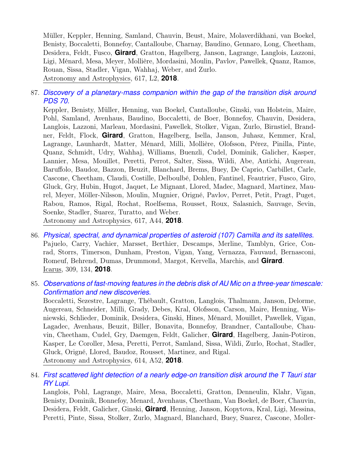Müller, Keppler, Henning, Samland, Chauvin, Beust, Maire, Molaverdikhani, van Boekel, Benisty, Boccaletti, Bonnefoy, Cantalloube, Charnay, Baudino, Gennaro, Long, Cheetham, Desidera, Feldt, Fusco, **Girard**, Gratton, Hagelberg, Janson, Lagrange, Langlois, Lazzoni, Ligi, Ménard, Mesa, Meyer, Mollière, Mordasini, Moulin, Pavlov, Pawellek, Quanz, Ramos, Rouan, Sissa, Stadler, Vigan, Wahhaj, Weber, and Zurlo. Astronomy and Astrophysics, 617, L2, **2018**.

87. *[Discovery of a planetary-mass companion within the gap of the transition disk around](https://ui.adsabs.harvard.edu/abs/2018A&A...617A..44K) [PDS 70.](https://ui.adsabs.harvard.edu/abs/2018A&A...617A..44K)*

Keppler, Benisty, Müller, Henning, van Boekel, Cantalloube, Ginski, van Holstein, Maire, Pohl, Samland, Avenhaus, Baudino, Boccaletti, de Boer, Bonnefoy, Chauvin, Desidera, Langlois, Lazzoni, Marleau, Mordasini, Pawellek, Stolker, Vigan, Zurlo, Birnstiel, Brandner, Feldt, Flock, **Girard**, Gratton, Hagelberg, Isella, Janson, Juhasz, Kemmer, Kral, Lagrange, Launhardt, Matter, Ménard, Milli, Mollière, Olofsson, Pérez, Pinilla, Pinte, Quanz, Schmidt, Udry, Wahhaj, Williams, Buenzli, Cudel, Dominik, Galicher, Kasper, Lannier, Mesa, Mouillet, Peretti, Perrot, Salter, Sissa, Wildi, Abe, Antichi, Augereau, Baruffolo, Baudoz, Bazzon, Beuzit, Blanchard, Brems, Buey, De Caprio, Carbillet, Carle, Cascone, Cheetham, Claudi, Costille, Delboulbé, Dohlen, Fantinel, Feautrier, Fusco, Giro, Gluck, Gry, Hubin, Hugot, Jaquet, Le Mignant, Llored, Madec, Magnard, Martinez, Maurel, Meyer, Möller-Nilsson, Moulin, Mugnier, Origné, Pavlov, Perret, Petit, Pragt, Puget, Rabou, Ramos, Rigal, Rochat, Roelfsema, Rousset, Roux, Salasnich, Sauvage, Sevin, Soenke, Stadler, Suarez, Turatto, and Weber. Astronomy and Astrophysics, 617, A44, **2018**.

- 86. *[Physical, spectral, and dynamical properties of asteroid \(107\) Camilla and its satellites.](https://ui.adsabs.harvard.edu/abs/2018Icar..309..134P)* Pajuelo, Carry, Vachier, Marsset, Berthier, Descamps, Merline, Tamblyn, Grice, Conrad, Storrs, Timerson, Dunham, Preston, Vigan, Yang, Vernazza, Fauvaud, Bernasconi, Romeuf, Behrend, Dumas, Drummond, Margot, Kervella, Marchis, and **Girard**. Icarus, 309, 134, **2018**.
- 85. *[Observations of fast-moving features in the debris disk of AU Mic on a three-year timescal](https://ui.adsabs.harvard.edu/abs/2018A&A...614A..52B)e: [Confirmation and new discoveries.](https://ui.adsabs.harvard.edu/abs/2018A&A...614A..52B)*

Boccaletti, Sezestre, Lagrange, Thébault, Gratton, Langlois, Thalmann, Janson, Delorme, Augereau, Schneider, Milli, Grady, Debes, Kral, Olofsson, Carson, Maire, Henning, Wisniewski, Schlieder, Dominik, Desidera, Ginski, Hines, Ménard, Mouillet, Pawellek, Vigan, Lagadec, Avenhaus, Beuzit, Biller, Bonavita, Bonnefoy, Brandner, Cantalloube, Chauvin, Cheetham, Cudel, Gry, Daemgen, Feldt, Galicher, **Girard**, Hagelberg, Janin-Potiron, Kasper, Le Coroller, Mesa, Peretti, Perrot, Samland, Sissa, Wildi, Zurlo, Rochat, Stadler, Gluck, Origné, Llored, Baudoz, Rousset, Martinez, and Rigal. Astronomy and Astrophysics, 614, A52, **2018**.

84. *[First scattered light detection of a nearly edge-on transition disk around the T Tauri star](https://ui.adsabs.harvard.edu/abs/2018A&A...614A..88L) [RY Lupi.](https://ui.adsabs.harvard.edu/abs/2018A&A...614A..88L)*

Langlois, Pohl, Lagrange, Maire, Mesa, Boccaletti, Gratton, Denneulin, Klahr, Vigan, Benisty, Dominik, Bonnefoy, Menard, Avenhaus, Cheetham, Van Boekel, de Boer, Chauvin, Desidera, Feldt, Galicher, Ginski, **Girard**, Henning, Janson, Kopytova, Kral, Ligi, Messina, Peretti, Pinte, Sissa, Stolker, Zurlo, Magnard, Blanchard, Buey, Suarez, Cascone, Moller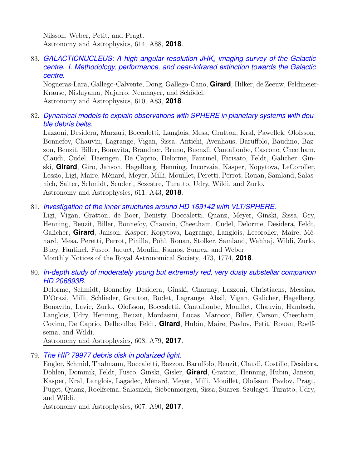Nilsson, Weber, Petit, and Pragt. Astronomy and Astrophysics, 614, A88, **2018**.

83. *[GALACTICNUCLEUS: A high angular resolution JHK](https://ui.adsabs.harvard.edu/abs/2018A&A...610A..83N)*<sup>s</sup> *imaging survey of the Galactic [centre. I. Methodology, performance, and near-infrared extinction towards the Galactic](https://ui.adsabs.harvard.edu/abs/2018A&A...610A..83N) [centre.](https://ui.adsabs.harvard.edu/abs/2018A&A...610A..83N)*

Nogueras-Lara, Gallego-Calvente, Dong, Gallego-Cano, **Girard**, Hilker, de Zeeuw, Feldmeier-Krause, Nishiyama, Najarro, Neumayer, and Schödel. Astronomy and Astrophysics, 610, A83, **2018**.

82. *[Dynamical models to explain observations with SPHERE in planetary systems with dou](https://ui.adsabs.harvard.edu/abs/2018A&A...611A..43L)[ble debris belts.](https://ui.adsabs.harvard.edu/abs/2018A&A...611A..43L)*

Lazzoni, Desidera, Marzari, Boccaletti, Langlois, Mesa, Gratton, Kral, Pawellek, Olofsson, Bonnefoy, Chauvin, Lagrange, Vigan, Sissa, Antichi, Avenhaus, Baruffolo, Baudino, Bazzon, Beuzit, Biller, Bonavita, Brandner, Bruno, Buenzli, Cantalloube, Cascone, Cheetham, Claudi, Cudel, Daemgen, De Caprio, Delorme, Fantinel, Farisato, Feldt, Galicher, Ginski, **Girard**, Giro, Janson, Hagelberg, Henning, Incorvaia, Kasper, Kopytova, LeCoroller, Lessio, Ligi, Maire, Ménard, Meyer, Milli, Mouillet, Peretti, Perrot, Rouan, Samland, Salasnich, Salter, Schmidt, Scuderi, Sezestre, Turatto, Udry, Wildi, and Zurlo. Astronomy and Astrophysics, 611, A43, **2018**.

81. *[Investigation of the inner structures around HD 169142 with VLT/SPHERE.](https://ui.adsabs.harvard.edu/abs/2018MNRAS.473.1774L)*

Ligi, Vigan, Gratton, de Boer, Benisty, Boccaletti, Quanz, Meyer, Ginski, Sissa, Gry, Henning, Beuzit, Biller, Bonnefoy, Chauvin, Cheetham, Cudel, Delorme, Desidera, Feldt, Galicher, **Girard**, Janson, Kasper, Kopytova, Lagrange, Langlois, Lecoroller, Maire, Ménard, Mesa, Peretti, Perrot, Pinilla, Pohl, Rouan, Stolker, Samland, Wahhaj, Wildi, Zurlo, Buey, Fantinel, Fusco, Jaquet, Moulin, Ramos, Suarez, and Weber. Monthly Notices of the Royal Astronomical Society, 473, 1774, **2018**.

80. *[In-depth study of moderately young but extremely red, very dusty substellar companion](https://ui.adsabs.harvard.edu/abs/2017A&A...608A..79D) [HD 206893B.](https://ui.adsabs.harvard.edu/abs/2017A&A...608A..79D)*

Delorme, Schmidt, Bonnefoy, Desidera, Ginski, Charnay, Lazzoni, Christiaens, Messina, D'Orazi, Milli, Schlieder, Gratton, Rodet, Lagrange, Absil, Vigan, Galicher, Hagelberg, Bonavita, Lavie, Zurlo, Olofsson, Boccaletti, Cantalloube, Mouillet, Chauvin, Hambsch, Langlois, Udry, Henning, Beuzit, Mordasini, Lucas, Marocco, Biller, Carson, Cheetham, Covino, De Caprio, Delboulbe, Feldt, **Girard**, Hubin, Maire, Pavlov, Petit, Rouan, Roelfsema, and Wildi.

Astronomy and Astrophysics, 608, A79, **2017**.

79. *[The HIP 79977 debris disk in polarized light.](https://ui.adsabs.harvard.edu/abs/2017A&A...607A..90E)*

Engler, Schmid, Thalmann, Boccaletti, Bazzon, Baruffolo, Beuzit, Claudi, Costille, Desidera, Dohlen, Dominik, Feldt, Fusco, Ginski, Gisler, **Girard**, Gratton, Henning, Hubin, Janson, Kasper, Kral, Langlois, Lagadec, Ménard, Meyer, Milli, Mouillet, Olofsson, Pavlov, Pragt, Puget, Quanz, Roelfsema, Salasnich, Siebenmorgen, Sissa, Suarez, Szulagyi, Turatto, Udry, and Wildi.

Astronomy and Astrophysics, 607, A90, **2017**.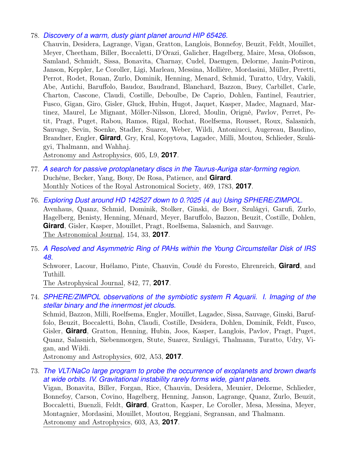#### 78. *[Discovery of a warm, dusty giant planet around HIP 65426.](https://ui.adsabs.harvard.edu/abs/2017A&A...605L...9C)*

Chauvin, Desidera, Lagrange, Vigan, Gratton, Langlois, Bonnefoy, Beuzit, Feldt, Mouillet, Meyer, Cheetham, Biller, Boccaletti, D'Orazi, Galicher, Hagelberg, Maire, Mesa, Olofsson, Samland, Schmidt, Sissa, Bonavita, Charnay, Cudel, Daemgen, Delorme, Janin-Potiron, Janson, Keppler, Le Coroller, Ligi, Marleau, Messina, Mollière, Mordasini, Müller, Peretti, Perrot, Rodet, Rouan, Zurlo, Dominik, Henning, Menard, Schmid, Turatto, Udry, Vakili, Abe, Antichi, Baruffolo, Baudoz, Baudrand, Blanchard, Bazzon, Buey, Carbillet, Carle, Charton, Cascone, Claudi, Costille, Deboulbe, De Caprio, Dohlen, Fantinel, Feautrier, Fusco, Gigan, Giro, Gisler, Gluck, Hubin, Hugot, Jaquet, Kasper, Madec, Magnard, Martinez, Maurel, Le Mignant, Möller-Nilsson, Llored, Moulin, Origné, Pavlov, Perret, Petit, Pragt, Puget, Rabou, Ramos, Rigal, Rochat, Roelfsema, Rousset, Roux, Salasnich, Sauvage, Sevin, Soenke, Stadler, Suarez, Weber, Wildi, Antoniucci, Augereau, Baudino, Brandner, Engler, **Girard**, Gry, Kral, Kopytova, Lagadec, Milli, Moutou, Schlieder, Szulágyi, Thalmann, and Wahhaj.

Astronomy and Astrophysics, 605, L9, **2017**.

- 77. *[A search for passive protoplanetary discs in the Taurus-Auriga star-forming region.](https://ui.adsabs.harvard.edu/abs/2017MNRAS.469.1783D)* Duchêne, Becker, Yang, Bouy, De Rosa, Patience, and **Girard**. Monthly Notices of the Royal Astronomical Society, 469, 1783, **2017**.
- 76. *[Exploring Dust around HD 142527 down to 0.?025 \(4 au\) Using SPHERE/ZIMPOL.](https://ui.adsabs.harvard.edu/abs/2017AJ....154...33A)* Avenhaus, Quanz, Schmid, Dominik, Stolker, Ginski, de Boer, Szulágyi, Garufi, Zurlo, Hagelberg, Benisty, Henning, Ménard, Meyer, Baruffolo, Bazzon, Beuzit, Costille, Dohlen, **Girard**, Gisler, Kasper, Mouillet, Pragt, Roelfsema, Salasnich, and Sauvage. The Astronomical Journal, 154, 33, **2017**.
- 75. *[A Resolved and Asymmetric Ring of PAHs within the Young Circumstellar Disk of IRS](https://ui.adsabs.harvard.edu/abs/2017ApJ...842...77S) [48.](https://ui.adsabs.harvard.edu/abs/2017ApJ...842...77S)*

Schworer, Lacour, Huélamo, Pinte, Chauvin, Coudé du Foresto, Ehrenreich, **Girard**, and Tuthill.

The Astrophysical Journal, 842, 77, **2017**.

74. *[SPHERE/ZIMPOL observations of the symbiotic system R Aquarii. I. Imaging of the](https://ui.adsabs.harvard.edu/abs/2017A&A...602A..53S) [stellar binary and the innermost jet clouds.](https://ui.adsabs.harvard.edu/abs/2017A&A...602A..53S)*

Schmid, Bazzon, Milli, Roelfsema, Engler, Mouillet, Lagadec, Sissa, Sauvage, Ginski, Baruffolo, Beuzit, Boccaletti, Bohn, Claudi, Costille, Desidera, Dohlen, Dominik, Feldt, Fusco, Gisler, **Girard**, Gratton, Henning, Hubin, Joos, Kasper, Langlois, Pavlov, Pragt, Puget, Quanz, Salasnich, Siebenmorgen, Stute, Suarez, Szulágyi, Thalmann, Turatto, Udry, Vigan, and Wildi.

Astronomy and Astrophysics, 602, A53, **2017**.

73. *[The VLT/NaCo large program to probe the occurrence of exoplanets and brown dwarfs](https://ui.adsabs.harvard.edu/abs/2017A&A...603A...3V) [at wide orbits. IV. Gravitational instability rarely forms wide, giant planets.](https://ui.adsabs.harvard.edu/abs/2017A&A...603A...3V)* Vigan, Bonavita, Biller, Forgan, Rice, Chauvin, Desidera, Meunier, Delorme, Schlieder, Bonnefoy, Carson, Covino, Hagelberg, Henning, Janson, Lagrange, Quanz, Zurlo, Beuzit, Boccaletti, Buenzli, Feldt, **Girard**, Gratton, Kasper, Le Coroller, Mesa, Messina, Meyer, Montagnier, Mordasini, Mouillet, Moutou, Reggiani, Segransan, and Thalmann. Astronomy and Astrophysics, 603, A3, **2017**.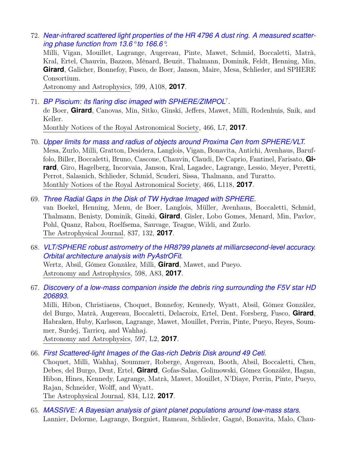72. *[Near-infrared scattered light properties of the HR 4796 A dust ring. A measured scatter](https://ui.adsabs.harvard.edu/abs/2017A&A...599A.108M)[ing phase function from 13.6° to 166.6°.](https://ui.adsabs.harvard.edu/abs/2017A&A...599A.108M)*

Milli, Vigan, Mouillet, Lagrange, Augereau, Pinte, Mawet, Schmid, Boccaletti, Matrà, Kral, Ertel, Chauvin, Bazzon, Ménard, Beuzit, Thalmann, Dominik, Feldt, Henning, Min, **Girard**, Galicher, Bonnefoy, Fusco, de Boer, Janson, Maire, Mesa, Schlieder, and SPHERE Consortium.

Astronomy and Astrophysics, 599, A108, **2017**.

- 71. *[BP Piscium: its flaring disc imaged with SPHERE/ZIMPOL](https://ui.adsabs.harvard.edu/abs/2017MNRAS.466L...7D)*? *.* de Boer, **Girard**, Canovas, Min, Sitko, Ginski, Jeffers, Mawet, Milli, Rodenhuis, Snik, and Keller. Monthly Notices of the Royal Astronomical Society, 466, L7, **2017**.
- 70. *[Upper limits for mass and radius of objects around Proxima Cen from SPHERE/VLT.](https://ui.adsabs.harvard.edu/abs/2017MNRAS.466L.118M)* Mesa, Zurlo, Milli, Gratton, Desidera, Langlois, Vigan, Bonavita, Antichi, Avenhaus, Baruffolo, Biller, Boccaletti, Bruno, Cascone, Chauvin, Claudi, De Caprio, Fantinel, Farisato, **Girard**, Giro, Hagelberg, Incorvaia, Janson, Kral, Lagadec, Lagrange, Lessio, Meyer, Peretti, Perrot, Salasnich, Schlieder, Schmid, Scuderi, Sissa, Thalmann, and Turatto. Monthly Notices of the Royal Astronomical Society, 466, L118, **2017**.
- 69. *[Three Radial Gaps in the Disk of TW Hydrae Imaged with SPHERE.](https://ui.adsabs.harvard.edu/abs/2017ApJ...837..132V)* van Boekel, Henning, Menu, de Boer, Langlois, Müller, Avenhaus, Boccaletti, Schmid, Thalmann, Benisty, Dominik, Ginski, **Girard**, Gisler, Lobo Gomes, Menard, Min, Pavlov, Pohl, Quanz, Rabou, Roelfsema, Sauvage, Teague, Wildi, and Zurlo. The Astrophysical Journal, 837, 132, **2017**.
- 68. *[VLT/SPHERE robust astrometry of the HR8799 planets at milliarcsecond-level accuracy.](https://ui.adsabs.harvard.edu/abs/2017A&A...598A..83W) [Orbital architecture analysis with PyAstrOFit.](https://ui.adsabs.harvard.edu/abs/2017A&A...598A..83W)* Wertz, Absil, Gómez González, Milli, **Girard**, Mawet, and Pueyo.

Astronomy and Astrophysics, 598, A83, **2017**.

67. *[Discovery of a low-mass companion inside the debris ring surrounding the F5V star HD](https://ui.adsabs.harvard.edu/abs/2017A&A...597L...2M) [206893.](https://ui.adsabs.harvard.edu/abs/2017A&A...597L...2M)*

Milli, Hibon, Christiaens, Choquet, Bonnefoy, Kennedy, Wyatt, Absil, Gómez González, del Burgo, Matrà, Augereau, Boccaletti, Delacroix, Ertel, Dent, Forsberg, Fusco, **Girard**, Habraken, Huby, Karlsson, Lagrange, Mawet, Mouillet, Perrin, Pinte, Pueyo, Reyes, Soummer, Surdej, Tarricq, and Wahhaj.

Astronomy and Astrophysics, 597, L2, **2017**.

66. *[First Scattered-light Images of the Gas-rich Debris Disk around 49 Ceti.](https://ui.adsabs.harvard.edu/abs/2017ApJ...834L..12C)*

Choquet, Milli, Wahhaj, Soummer, Roberge, Augereau, Booth, Absil, Boccaletti, Chen, Debes, del Burgo, Dent, Ertel, **Girard**, Gofas-Salas, Golimowski, Gómez González, Hagan, Hibon, Hines, Kennedy, Lagrange, Matrà, Mawet, Mouillet, N'Diaye, Perrin, Pinte, Pueyo, Rajan, Schneider, Wolff, and Wyatt.

The Astrophysical Journal, 834, L12, **2017**.

65. *[MASSIVE: A Bayesian analysis of giant planet populations around low-mass stars.](https://ui.adsabs.harvard.edu/abs/2016A&A...596A..83L)* Lannier, Delorme, Lagrange, Borgniet, Rameau, Schlieder, Gagné, Bonavita, Malo, Chau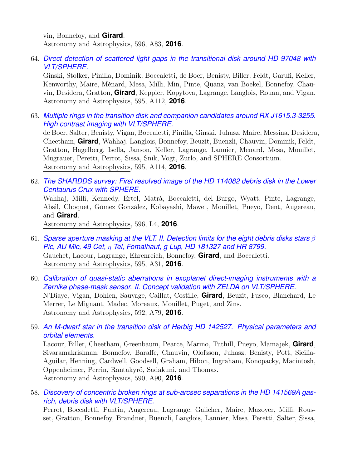vin, Bonnefoy, and **Girard**. Astronomy and Astrophysics, 596, A83, **2016**.

64. *[Direct detection of scattered light gaps in the transitional disk around HD 97048 with](https://ui.adsabs.harvard.edu/abs/2016A&A...595A.112G) [VLT/SPHERE.](https://ui.adsabs.harvard.edu/abs/2016A&A...595A.112G)*

Ginski, Stolker, Pinilla, Dominik, Boccaletti, de Boer, Benisty, Biller, Feldt, Garufi, Keller, Kenworthy, Maire, Ménard, Mesa, Milli, Min, Pinte, Quanz, van Boekel, Bonnefoy, Chauvin, Desidera, Gratton, **Girard**, Keppler, Kopytova, Lagrange, Langlois, Rouan, and Vigan. Astronomy and Astrophysics, 595, A112, **2016**.

63. *[Multiple rings in the transition disk and companion candidates around RX J1615.3-3255.](https://ui.adsabs.harvard.edu/abs/2016A&A...595A.114D) [High contrast imaging with VLT/SPHERE.](https://ui.adsabs.harvard.edu/abs/2016A&A...595A.114D)*

de Boer, Salter, Benisty, Vigan, Boccaletti, Pinilla, Ginski, Juhasz, Maire, Messina, Desidera, Cheetham, **Girard**, Wahhaj, Langlois, Bonnefoy, Beuzit, Buenzli, Chauvin, Dominik, Feldt, Gratton, Hagelberg, Isella, Janson, Keller, Lagrange, Lannier, Menard, Mesa, Mouillet, Mugrauer, Peretti, Perrot, Sissa, Snik, Vogt, Zurlo, and SPHERE Consortium. Astronomy and Astrophysics, 595, A114, **2016**.

62. *[The SHARDDS survey: First resolved image of the HD 114082 debris disk in the Lower](https://ui.adsabs.harvard.edu/abs/2016A&A...596L...4W) [Centaurus Crux with SPHERE.](https://ui.adsabs.harvard.edu/abs/2016A&A...596L...4W)*

Wahhaj, Milli, Kennedy, Ertel, Matrà, Boccaletti, del Burgo, Wyatt, Pinte, Lagrange, Absil, Choquet, Gómez González, Kobayashi, Mawet, Mouillet, Pueyo, Dent, Augereau, and **Girard**.

Astronomy and Astrophysics, 596, L4, **2016**.

- 61. *[Sparse aperture masking at the VLT. II. Detection limits for the eight debris disks stars](https://ui.adsabs.harvard.edu/abs/2016A&A...595A..31G)* β *Pic, AU Mic, 49 Cet,* η *[Tel, Fomalhaut, g Lup, HD 181327 and HR 8799.](https://ui.adsabs.harvard.edu/abs/2016A&A...595A..31G)* Gauchet, Lacour, Lagrange, Ehrenreich, Bonnefoy, **Girard**, and Boccaletti. Astronomy and Astrophysics, 595, A31, **2016**.
- 60. *[Calibration of quasi-static aberrations in exoplanet direct-imaging instruments with a](https://ui.adsabs.harvard.edu/abs/2016A&A...592A..79N) [Zernike phase-mask sensor. II. Concept validation with ZELDA on VLT/SPHERE.](https://ui.adsabs.harvard.edu/abs/2016A&A...592A..79N)* N'Diaye, Vigan, Dohlen, Sauvage, Caillat, Costille, **Girard**, Beuzit, Fusco, Blanchard, Le Merrer, Le Mignant, Madec, Moreaux, Mouillet, Puget, and Zins. Astronomy and Astrophysics, 592, A79, **2016**.
- 59. *[An M-dwarf star in the transition disk of Herbig HD 142527. Physical parameters and](https://ui.adsabs.harvard.edu/abs/2016A&A...590A..90L) [orbital elements.](https://ui.adsabs.harvard.edu/abs/2016A&A...590A..90L)*

Lacour, Biller, Cheetham, Greenbaum, Pearce, Marino, Tuthill, Pueyo, Mamajek, **Girard**, Sivaramakrishnan, Bonnefoy, Baraffe, Chauvin, Olofsson, Juhasz, Benisty, Pott, Sicilia-Aguilar, Henning, Cardwell, Goodsell, Graham, Hibon, Ingraham, Konopacky, Macintosh, Oppenheimer, Perrin, Rantakyrö, Sadakuni, and Thomas. Astronomy and Astrophysics, 590, A90, **2016**.

58. *[Discovery of concentric broken rings at sub-arcsec separations in the HD 141569A gas](https://ui.adsabs.harvard.edu/abs/2016A&A...590L...7P)[rich, debris disk with VLT/SPHERE.](https://ui.adsabs.harvard.edu/abs/2016A&A...590L...7P)*

Perrot, Boccaletti, Pantin, Augereau, Lagrange, Galicher, Maire, Mazoyer, Milli, Rousset, Gratton, Bonnefoy, Brandner, Buenzli, Langlois, Lannier, Mesa, Peretti, Salter, Sissa,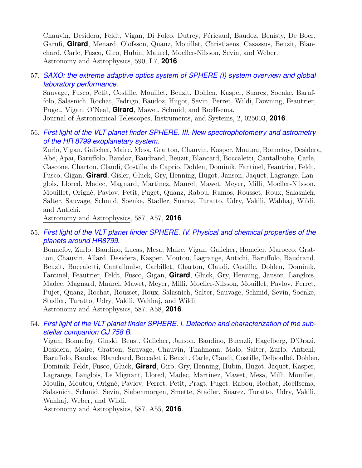Chauvin, Desidera, Feldt, Vigan, Di Folco, Dutrey, Péricaud, Baudoz, Benisty, De Boer, Garufi, **Girard**, Menard, Olofsson, Quanz, Mouillet, Christiaens, Casassus, Beuzit, Blanchard, Carle, Fusco, Giro, Hubin, Maurel, Moeller-Nilsson, Sevin, and Weber. Astronomy and Astrophysics, 590, L7, **2016**.

#### 57. *[SAXO: the extreme adaptive optics system of SPHERE \(I\) system overview and global](https://ui.adsabs.harvard.edu/abs/2016JATIS...2b5003S) [laboratory performance.](https://ui.adsabs.harvard.edu/abs/2016JATIS...2b5003S)*

Sauvage, Fusco, Petit, Costille, Mouillet, Beuzit, Dohlen, Kasper, Suarez, Soenke, Baruffolo, Salasnich, Rochat, Fedrigo, Baudoz, Hugot, Sevin, Perret, Wildi, Downing, Feautrier, Puget, Vigan, O'Neal, **Girard**, Mawet, Schmid, and Roelfsema. Journal of Astronomical Telescopes, Instruments, and Systems, 2, 025003, **2016**.

56. *[First light of the VLT planet finder SPHERE. III. New spectrophotometry and astrometry](https://ui.adsabs.harvard.edu/abs/2016A&A...587A..57Z) [of the HR 8799 exoplanetary system.](https://ui.adsabs.harvard.edu/abs/2016A&A...587A..57Z)*

Zurlo, Vigan, Galicher, Maire, Mesa, Gratton, Chauvin, Kasper, Moutou, Bonnefoy, Desidera, Abe, Apai, Baruffolo, Baudoz, Baudrand, Beuzit, Blancard, Boccaletti, Cantalloube, Carle, Cascone, Charton, Claudi, Costille, de Caprio, Dohlen, Dominik, Fantinel, Feautrier, Feldt, Fusco, Gigan, **Girard**, Gisler, Gluck, Gry, Henning, Hugot, Janson, Jaquet, Lagrange, Langlois, Llored, Madec, Magnard, Martinez, Maurel, Mawet, Meyer, Milli, Moeller-Nilsson, Mouillet, Origné, Pavlov, Petit, Puget, Quanz, Rabou, Ramos, Rousset, Roux, Salasnich, Salter, Sauvage, Schmid, Soenke, Stadler, Suarez, Turatto, Udry, Vakili, Wahhaj, Wildi, and Antichi.

Astronomy and Astrophysics, 587, A57, **2016**.

55. *[First light of the VLT planet finder SPHERE. IV. Physical and chemical properties of the](https://ui.adsabs.harvard.edu/abs/2016A&A...587A..58B) [planets around HR8799.](https://ui.adsabs.harvard.edu/abs/2016A&A...587A..58B)*

Bonnefoy, Zurlo, Baudino, Lucas, Mesa, Maire, Vigan, Galicher, Homeier, Marocco, Gratton, Chauvin, Allard, Desidera, Kasper, Moutou, Lagrange, Antichi, Baruffolo, Baudrand, Beuzit, Boccaletti, Cantalloube, Carbillet, Charton, Claudi, Costille, Dohlen, Dominik, Fantinel, Feautrier, Feldt, Fusco, Gigan, **Girard**, Gluck, Gry, Henning, Janson, Langlois, Madec, Magnard, Maurel, Mawet, Meyer, Milli, Moeller-Nilsson, Mouillet, Pavlov, Perret, Pujet, Quanz, Rochat, Rousset, Roux, Salasnich, Salter, Sauvage, Schmid, Sevin, Soenke, Stadler, Turatto, Udry, Vakili, Wahhaj, and Wildi. Astronomy and Astrophysics, 587, A58, **2016**.

54. *[First light of the VLT planet finder SPHERE. I. Detection and characterization of the sub](https://ui.adsabs.harvard.edu/abs/2016A&A...587A..55V)[stellar companion GJ 758 B.](https://ui.adsabs.harvard.edu/abs/2016A&A...587A..55V)*

Vigan, Bonnefoy, Ginski, Beust, Galicher, Janson, Baudino, Buenzli, Hagelberg, D'Orazi, Desidera, Maire, Gratton, Sauvage, Chauvin, Thalmann, Malo, Salter, Zurlo, Antichi, Baruffolo, Baudoz, Blanchard, Boccaletti, Beuzit, Carle, Claudi, Costille, Delboulbé, Dohlen, Dominik, Feldt, Fusco, Gluck, **Girard**, Giro, Gry, Henning, Hubin, Hugot, Jaquet, Kasper, Lagrange, Langlois, Le Mignant, Llored, Madec, Martinez, Mawet, Mesa, Milli, Mouillet, Moulin, Moutou, Origné, Pavlov, Perret, Petit, Pragt, Puget, Rabou, Rochat, Roelfsema, Salasnich, Schmid, Sevin, Siebenmorgen, Smette, Stadler, Suarez, Turatto, Udry, Vakili, Wahhaj, Weber, and Wildi.

Astronomy and Astrophysics, 587, A55, **2016**.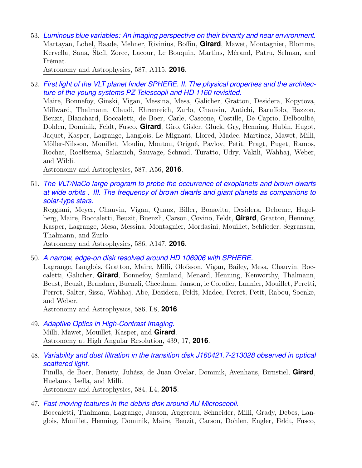53. *[Luminous blue variables: An imaging perspective on their binarity and near environment.](https://ui.adsabs.harvard.edu/abs/2016A&A...587A.115M)* Martayan, Lobel, Baade, Mehner, Rivinius, Boffin, **Girard**, Mawet, Montagnier, Blomme, Kervella, Sana, Štefl, Zorec, Lacour, Le Bouquin, Martins, Mérand, Patru, Selman, and Frémat.

Astronomy and Astrophysics, 587, A115, **2016**.

52. *[First light of the VLT planet finder SPHERE. II. The physical properties and the architec](https://ui.adsabs.harvard.edu/abs/2016A&A...587A..56M)[ture of the young systems PZ Telescopii and HD 1160 revisited.](https://ui.adsabs.harvard.edu/abs/2016A&A...587A..56M)*

Maire, Bonnefoy, Ginski, Vigan, Messina, Mesa, Galicher, Gratton, Desidera, Kopytova, Millward, Thalmann, Claudi, Ehrenreich, Zurlo, Chauvin, Antichi, Baruffolo, Bazzon, Beuzit, Blanchard, Boccaletti, de Boer, Carle, Cascone, Costille, De Caprio, Delboulbé, Dohlen, Dominik, Feldt, Fusco, **Girard**, Giro, Gisler, Gluck, Gry, Henning, Hubin, Hugot, Jaquet, Kasper, Lagrange, Langlois, Le Mignant, Llored, Madec, Martinez, Mawet, Milli, Möller-Nilsson, Mouillet, Moulin, Moutou, Origné, Pavlov, Petit, Pragt, Puget, Ramos, Rochat, Roelfsema, Salasnich, Sauvage, Schmid, Turatto, Udry, Vakili, Wahhaj, Weber, and Wildi.

Astronomy and Astrophysics, 587, A56, **2016**.

51. *[The VLT/NaCo large program to probe the occurrence of exoplanets and brown dwarfs](https://ui.adsabs.harvard.edu/abs/2016A&A...586A.147R) [at wide orbits . III. The frequency of brown dwarfs and giant planets as companions to](https://ui.adsabs.harvard.edu/abs/2016A&A...586A.147R) [solar-type stars.](https://ui.adsabs.harvard.edu/abs/2016A&A...586A.147R)*

Reggiani, Meyer, Chauvin, Vigan, Quanz, Biller, Bonavita, Desidera, Delorme, Hagelberg, Maire, Boccaletti, Beuzit, Buenzli, Carson, Covino, Feldt, **Girard**, Gratton, Henning, Kasper, Lagrange, Mesa, Messina, Montagnier, Mordasini, Mouillet, Schlieder, Segransan, Thalmann, and Zurlo.

Astronomy and Astrophysics, 586, A147, **2016**.

50. *[A narrow, edge-on disk resolved around HD 106906 with SPHERE.](https://ui.adsabs.harvard.edu/abs/2016A&A...586L...8L)*

Lagrange, Langlois, Gratton, Maire, Milli, Olofsson, Vigan, Bailey, Mesa, Chauvin, Boccaletti, Galicher, **Girard**, Bonnefoy, Samland, Menard, Henning, Kenworthy, Thalmann, Beust, Beuzit, Brandner, Buenzli, Cheetham, Janson, le Coroller, Lannier, Mouillet, Peretti, Perrot, Salter, Sissa, Wahhaj, Abe, Desidera, Feldt, Madec, Perret, Petit, Rabou, Soenke, and Weber.

Astronomy and Astrophysics, 586, L8, **2016**.

- 49. *[Adaptive Optics in High-Contrast Imaging.](https://ui.adsabs.harvard.edu/abs/2016ASSL..439...17M)* Milli, Mawet, Mouillet, Kasper, and **Girard**. Astronomy at High Angular Resolution, 439, 17, **2016**.
- 48. *[Variability and dust filtration in the transition disk J160421.7-213028 observed in optical](https://ui.adsabs.harvard.edu/abs/2015A&A...584L...4P) [scattered light.](https://ui.adsabs.harvard.edu/abs/2015A&A...584L...4P)* Pinilla, de Boer, Benisty, Juhász, de Juan Ovelar, Dominik, Avenhaus, Birnstiel, **Girard**,

Huelamo, Isella, and Milli.

Astronomy and Astrophysics, 584, L4, **2015**.

47. *[Fast-moving features in the debris disk around AU Microscopii.](https://ui.adsabs.harvard.edu/abs/2015Natur.526..230B)*

Boccaletti, Thalmann, Lagrange, Janson, Augereau, Schneider, Milli, Grady, Debes, Langlois, Mouillet, Henning, Dominik, Maire, Beuzit, Carson, Dohlen, Engler, Feldt, Fusco,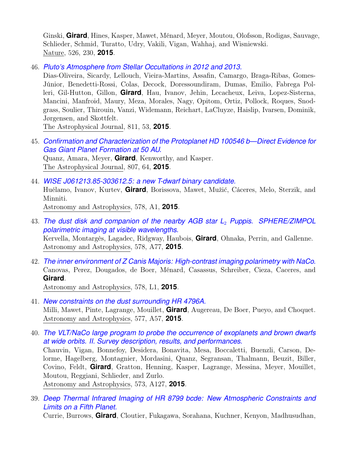Ginski, **Girard**, Hines, Kasper, Mawet, Ménard, Meyer, Moutou, Olofsson, Rodigas, Sauvage, Schlieder, Schmid, Turatto, Udry, Vakili, Vigan, Wahhaj, and Wisniewski. Nature, 526, 230, **2015**.

46. *[Pluto's Atmosphere from Stellar Occultations in 2012 and 2013.](https://ui.adsabs.harvard.edu/abs/2015ApJ...811...53D)*

Dias-Oliveira, Sicardy, Lellouch, Vieira-Martins, Assafin, Camargo, Braga-Ribas, Gomes-Júnior, Benedetti-Rossi, Colas, Decock, Doressoundiram, Dumas, Emilio, Fabrega Polleri, Gil-Hutton, Gillon, **Girard**, Hau, Ivanov, Jehin, Lecacheux, Leiva, Lopez-Sisterna, Mancini, Manfroid, Maury, Meza, Morales, Nagy, Opitom, Ortiz, Pollock, Roques, Snodgrass, Soulier, Thirouin, Vanzi, Widemann, Reichart, LaCluyze, Haislip, Ivarsen, Dominik, Jørgensen, and Skottfelt.

The Astrophysical Journal, 811, 53, **2015**.

- 45. *[Confirmation and Characterization of the Protoplanet HD 100546 b—Direct Evidence for](https://ui.adsabs.harvard.edu/abs/2015ApJ...807...64Q) [Gas Giant Planet Formation at 50 AU.](https://ui.adsabs.harvard.edu/abs/2015ApJ...807...64Q)* Quanz, Amara, Meyer, **Girard**, Kenworthy, and Kasper. The Astrophysical Journal, 807, 64, **2015**.
- 44. *[WISE J061213.85-303612.5: a new T-dwarf binary candidate.](https://ui.adsabs.harvard.edu/abs/2015A&A...578A...1H)* Huélamo, Ivanov, Kurtev, **Girard**, Borissova, Mawet, Mužić, Cáceres, Melo, Sterzik, and Minniti. Astronomy and Astrophysics, 578, A1, **2015**.
- 43. *[The dust disk and companion of the nearby AGB star L](https://ui.adsabs.harvard.edu/abs/2015A&A...578A..77K)*<sup>2</sup> *Puppis. SPHERE/ZIMPOL [polarimetric imaging at visible wavelengths.](https://ui.adsabs.harvard.edu/abs/2015A&A...578A..77K)* Kervella, Montargès, Lagadec, Ridgway, Haubois, **Girard**, Ohnaka, Perrin, and Gallenne. Astronomy and Astrophysics, 578, A77, **2015**.
- 42. *[The inner environment of Z Canis Majoris: High-contrast imaging polarimetry with NaCo.](https://ui.adsabs.harvard.edu/abs/2015A&A...578L...1C)* Canovas, Perez, Dougados, de Boer, Ménard, Casassus, Schreiber, Cieza, Caceres, and **Girard**.

Astronomy and Astrophysics, 578, L1, **2015**.

- 41. *[New constraints on the dust surrounding HR 4796A.](https://ui.adsabs.harvard.edu/abs/2015A&A...577A..57M)* Milli, Mawet, Pinte, Lagrange, Mouillet, **Girard**, Augereau, De Boer, Pueyo, and Choquet. Astronomy and Astrophysics, 577, A57, **2015**.
- 40. *[The VLT/NaCo large program to probe the occurrence of exoplanets and brown dwarfs](https://ui.adsabs.harvard.edu/abs/2015A&A...573A.127C) [at wide orbits. II. Survey description, results, and performances.](https://ui.adsabs.harvard.edu/abs/2015A&A...573A.127C)* Chauvin, Vigan, Bonnefoy, Desidera, Bonavita, Mesa, Boccaletti, Buenzli, Carson, Delorme, Hagelberg, Montagnier, Mordasini, Quanz, Segransan, Thalmann, Beuzit, Biller, Covino, Feldt, **Girard**, Gratton, Henning, Kasper, Lagrange, Messina, Meyer, Mouillet, Moutou, Reggiani, Schlieder, and Zurlo. Astronomy and Astrophysics, 573, A127, **2015**.
- 39. *[Deep Thermal Infrared Imaging of HR 8799 bcde: New Atmospheric Constraints and](https://ui.adsabs.harvard.edu/abs/2014ApJ...795..133C) [Limits on a Fifth Planet.](https://ui.adsabs.harvard.edu/abs/2014ApJ...795..133C)*

Currie, Burrows, **Girard**, Cloutier, Fukagawa, Sorahana, Kuchner, Kenyon, Madhusudhan,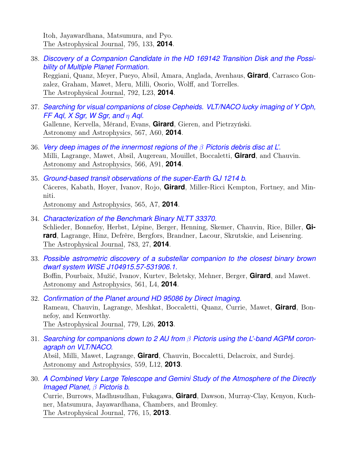Itoh, Jayawardhana, Matsumura, and Pyo. The Astrophysical Journal, 795, 133, **2014**.

38. *[Discovery of a Companion Candidate in the HD 169142 Transition Disk and the Possi](https://ui.adsabs.harvard.edu/abs/2014ApJ...792L..23R)[bility of Multiple Planet Formation.](https://ui.adsabs.harvard.edu/abs/2014ApJ...792L..23R)* Reggiani, Quanz, Meyer, Pueyo, Absil, Amara, Anglada, Avenhaus, **Girard**, Carrasco Gonzalez, Graham, Mawet, Meru, Milli, Osorio, Wolff, and Torrelles.

The Astrophysical Journal, 792, L23, **2014**.

- 37. *[Searching for visual companions of close Cepheids. VLT/NACO lucky imaging of Y Oph,](https://ui.adsabs.harvard.edu/abs/2014A&A...567A..60G) [FF Aql, X Sgr, W Sgr, and](https://ui.adsabs.harvard.edu/abs/2014A&A...567A..60G)* η *Aql.* Gallenne, Kervella, Mérand, Evans, **Girard**, Gieren, and Pietrzyński. Astronomy and Astrophysics, 567, A60, **2014**.
- 36. *[Very deep images of the innermost regions of the](https://ui.adsabs.harvard.edu/abs/2014A&A...566A..91M)* β *Pictoris debris disc at L'.* Milli, Lagrange, Mawet, Absil, Augereau, Mouillet, Boccaletti, **Girard**, and Chauvin. Astronomy and Astrophysics, 566, A91, **2014**.
- 35. *[Ground-based transit observations of the super-Earth GJ 1214 b.](https://ui.adsabs.harvard.edu/abs/2014A&A...565A...7C)* Cáceres, Kabath, Hoyer, Ivanov, Rojo, **Girard**, Miller-Ricci Kempton, Fortney, and Minniti. Astronomy and Astrophysics, 565, A7, **2014**.
- 34. *[Characterization of the Benchmark Binary NLTT 33370.](https://ui.adsabs.harvard.edu/abs/2014ApJ...783...27S)* Schlieder, Bonnefoy, Herbst, Lépine, Berger, Henning, Skemer, Chauvin, Rice, Biller, **Girard**, Lagrange, Hinz, Defrère, Bergfors, Brandner, Lacour, Skrutskie, and Leisenring. The Astrophysical Journal, 783, 27, **2014**.
- 33. *[Possible astrometric discovery of a substellar companion to the closest binary brown](https://ui.adsabs.harvard.edu/abs/2014A&A...561L...4B) [dwarf system WISE J104915.57-531906.1.](https://ui.adsabs.harvard.edu/abs/2014A&A...561L...4B)* Boffin, Pourbaix, Mužić, Ivanov, Kurtev, Beletsky, Mehner, Berger, **Girard**, and Mawet. Astronomy and Astrophysics, 561, L4, **2014**.
- 32. *[Confirmation of the Planet around HD 95086 by Direct Imaging.](https://ui.adsabs.harvard.edu/abs/2013ApJ...779L..26R)* Rameau, Chauvin, Lagrange, Meshkat, Boccaletti, Quanz, Currie, Mawet, **Girard**, Bonnefoy, and Kenworthy. The Astrophysical Journal, 779, L26, **2013**.
- 31. *[Searching for companions down to 2 AU from](https://ui.adsabs.harvard.edu/abs/2013A&A...559L..12A)* β *Pictoris using the L'-band AGPM coron[agraph on VLT/NACO.](https://ui.adsabs.harvard.edu/abs/2013A&A...559L..12A)* Absil, Milli, Mawet, Lagrange, **Girard**, Chauvin, Boccaletti, Delacroix, and Surdej. Astronomy and Astrophysics, 559, L12, **2013**.
- 30. *[A Combined Very Large Telescope and Gemini Study of the Atmosphere of the Directly](https://ui.adsabs.harvard.edu/abs/2013ApJ...776...15C) [Imaged Planet,](https://ui.adsabs.harvard.edu/abs/2013ApJ...776...15C)* β *Pictoris b.* Currie, Burrows, Madhusudhan, Fukagawa, **Girard**, Dawson, Murray-Clay, Kenyon, Kuchner, Matsumura, Jayawardhana, Chambers, and Bromley. The Astrophysical Journal, 776, 15, **2013**.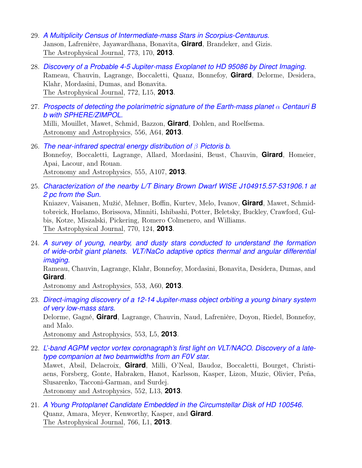- 29. *[A Multiplicity Census of Intermediate-mass Stars in Scorpius-Centaurus.](https://ui.adsabs.harvard.edu/abs/2013ApJ...773..170J)* Janson, Lafrenière, Jayawardhana, Bonavita, **Girard**, Brandeker, and Gizis. The Astrophysical Journal, 773, 170, **2013**.
- 28. *[Discovery of a Probable 4-5 Jupiter-mass Exoplanet to HD 95086 by Direct Imaging.](https://ui.adsabs.harvard.edu/abs/2013ApJ...772L..15R)* Rameau, Chauvin, Lagrange, Boccaletti, Quanz, Bonnefoy, **Girard**, Delorme, Desidera, Klahr, Mordasini, Dumas, and Bonavita. The Astrophysical Journal, 772, L15, **2013**.
- 27. *[Prospects of detecting the polarimetric signature of the Earth-mass planet](https://ui.adsabs.harvard.edu/abs/2013A&A...556A..64M)* α *Centauri B [b with SPHERE/ZIMPOL.](https://ui.adsabs.harvard.edu/abs/2013A&A...556A..64M)* Milli, Mouillet, Mawet, Schmid, Bazzon, **Girard**, Dohlen, and Roelfsema. Astronomy and Astrophysics, 556, A64, **2013**.
- 26. *[The near-infrared spectral energy distribution of](https://ui.adsabs.harvard.edu/abs/2013A&A...555A.107B)* β *Pictoris b.* Bonnefoy, Boccaletti, Lagrange, Allard, Mordasini, Beust, Chauvin, **Girard**, Homeier, Apai, Lacour, and Rouan. Astronomy and Astrophysics, 555, A107, **2013**.
- 25. *[Characterization of the nearby L/T Binary Brown Dwarf WISE J104915.57-531906.1 at](https://ui.adsabs.harvard.edu/abs/2013ApJ...770..124K) [2 pc from the Sun.](https://ui.adsabs.harvard.edu/abs/2013ApJ...770..124K)*

Kniazev, Vaisanen, Mužić, Mehner, Boffin, Kurtev, Melo, Ivanov, **Girard**, Mawet, Schmidtobreick, Huelamo, Borissova, Minniti, Ishibashi, Potter, Beletsky, Buckley, Crawford, Gulbis, Kotze, Miszalski, Pickering, Romero Colmenero, and Williams. The Astrophysical Journal, 770, 124, **2013**.

24. *[A survey of young, nearby, and dusty stars conducted to understand the formation](https://ui.adsabs.harvard.edu/abs/2013A&A...553A..60R) [of wide-orbit giant planets. VLT/NaCo adaptive optics thermal and angular differential](https://ui.adsabs.harvard.edu/abs/2013A&A...553A..60R) [imaging.](https://ui.adsabs.harvard.edu/abs/2013A&A...553A..60R)*

Rameau, Chauvin, Lagrange, Klahr, Bonnefoy, Mordasini, Bonavita, Desidera, Dumas, and **Girard**.

Astronomy and Astrophysics, 553, A60, **2013**.

23. *[Direct-imaging discovery of a 12-14 Jupiter-mass object orbiting a young binary system](https://ui.adsabs.harvard.edu/abs/2013A&A...553L...5D) [of very low-mass stars.](https://ui.adsabs.harvard.edu/abs/2013A&A...553L...5D)* Delorme, Gagné, **Girard**, Lagrange, Chauvin, Naud, Lafrenière, Doyon, Riedel, Bonnefoy,

and Malo.

Astronomy and Astrophysics, 553, L5, **2013**.

- 22. *[L'-band AGPM vector vortex coronagraph's first light on VLT/NACO. Discovery of a late](https://ui.adsabs.harvard.edu/abs/2013A&A...552L..13M)[type companion at two beamwidths from an F0V star.](https://ui.adsabs.harvard.edu/abs/2013A&A...552L..13M)* Mawet, Absil, Delacroix, **Girard**, Milli, O'Neal, Baudoz, Boccaletti, Bourget, Christiaens, Forsberg, Gonte, Habraken, Hanot, Karlsson, Kasper, Lizon, Muzic, Olivier, Peña, Slusarenko, Tacconi-Garman, and Surdej. Astronomy and Astrophysics, 552, L13, **2013**.
- 21. *[A Young Protoplanet Candidate Embedded in the Circumstellar Disk of HD 100546.](https://ui.adsabs.harvard.edu/abs/2013ApJ...766L...1Q)* Quanz, Amara, Meyer, Kenworthy, Kasper, and **Girard**. The Astrophysical Journal, 766, L1, **2013**.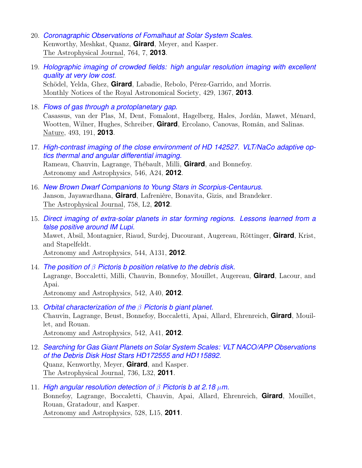- 20. *[Coronagraphic Observations of Fomalhaut at Solar System Scales.](https://ui.adsabs.harvard.edu/abs/2013ApJ...764....7K)* Kenworthy, Meshkat, Quanz, **Girard**, Meyer, and Kasper. The Astrophysical Journal, 764, 7, **2013**.
- 19. *[Holographic imaging of crowded fields: high angular resolution imaging with excellent](https://ui.adsabs.harvard.edu/abs/2013MNRAS.429.1367S) [quality at very low cost.](https://ui.adsabs.harvard.edu/abs/2013MNRAS.429.1367S)* Schödel, Yelda, Ghez, **Girard**, Labadie, Rebolo, Pérez-Garrido, and Morris. Monthly Notices of the Royal Astronomical Society, 429, 1367, **2013**.
- 18. *[Flows of gas through a protoplanetary gap.](https://ui.adsabs.harvard.edu/abs/2013Natur.493..191C)* Casassus, van der Plas, M, Dent, Fomalont, Hagelberg, Hales, Jordán, Mawet, Ménard, Wootten, Wilner, Hughes, Schreiber, **Girard**, Ercolano, Canovas, Román, and Salinas. Nature, 493, 191, **2013**.
- 17. *[High-contrast imaging of the close environment of HD 142527. VLT/NaCo adaptive op](https://ui.adsabs.harvard.edu/abs/2012A&A...546A..24R)[tics thermal and angular differential imaging.](https://ui.adsabs.harvard.edu/abs/2012A&A...546A..24R)* Rameau, Chauvin, Lagrange, Thébault, Milli, **Girard**, and Bonnefoy. Astronomy and Astrophysics, 546, A24, **2012**.
- 16. *[New Brown Dwarf Companions to Young Stars in Scorpius-Centaurus.](https://ui.adsabs.harvard.edu/abs/2012ApJ...758L...2J)* Janson, Jayawardhana, **Girard**, Lafrenière, Bonavita, Gizis, and Brandeker. The Astrophysical Journal, 758, L2, **2012**.
- 15. *[Direct imaging of extra-solar planets in star forming regions. Lessons learned from a](https://ui.adsabs.harvard.edu/abs/2012A&A...544A.131M) [false positive around IM Lupi.](https://ui.adsabs.harvard.edu/abs/2012A&A...544A.131M)* Mawet, Absil, Montagnier, Riaud, Surdej, Ducourant, Augereau, Röttinger, **Girard**, Krist, and Stapelfeldt. Astronomy and Astrophysics, 544, A131, **2012**.
- 14. *The position of* β *[Pictoris b position relative to the debris disk.](https://ui.adsabs.harvard.edu/abs/2012A&A...542A..40L)* Lagrange, Boccaletti, Milli, Chauvin, Bonnefoy, Mouillet, Augereau, **Girard**, Lacour, and Apai. Astronomy and Astrophysics, 542, A40, **2012**.
- 13. *[Orbital characterization of the](https://ui.adsabs.harvard.edu/abs/2012A&A...542A..41C)* β *Pictoris b giant planet.* Chauvin, Lagrange, Beust, Bonnefoy, Boccaletti, Apai, Allard, Ehrenreich, **Girard**, Mouillet, and Rouan. Astronomy and Astrophysics, 542, A41, **2012**.
- 12. *[Searching for Gas Giant Planets on Solar System Scales: VLT NACO/APP Observations](https://ui.adsabs.harvard.edu/abs/2011ApJ...736L..32Q) [of the Debris Disk Host Stars HD172555 and HD115892.](https://ui.adsabs.harvard.edu/abs/2011ApJ...736L..32Q)* Quanz, Kenworthy, Meyer, **Girard**, and Kasper. The Astrophysical Journal, 736, L32, **2011**.
- 11. *[High angular resolution detection of](https://ui.adsabs.harvard.edu/abs/2011A&A...528L..15B)* β *Pictoris b at 2.18* µ*m.* Bonnefoy, Lagrange, Boccaletti, Chauvin, Apai, Allard, Ehrenreich, **Girard**, Mouillet, Rouan, Gratadour, and Kasper. Astronomy and Astrophysics, 528, L15, **2011**.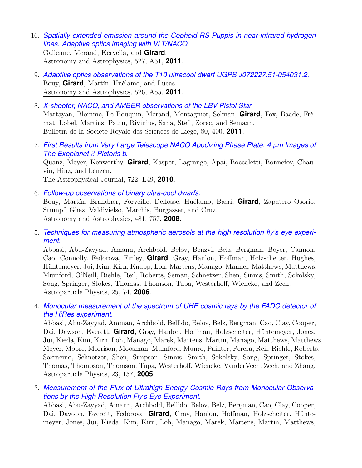- 10. *[Spatially extended emission around the Cepheid RS Puppis in near-infrared hydrogen](https://ui.adsabs.harvard.edu/abs/2011A&A...527A..51G) [lines. Adaptive optics imaging with VLT/NACO.](https://ui.adsabs.harvard.edu/abs/2011A&A...527A..51G)* Gallenne, Mérand, Kervella, and **Girard**. Astronomy and Astrophysics, 527, A51, **2011**.
- 9. *[Adaptive optics observations of the T10 ultracool dwarf UGPS J072227.51-054031.2.](https://ui.adsabs.harvard.edu/abs/2011A&A...526A..55B)* Bouy, **Girard**, Martín, Huélamo, and Lucas. Astronomy and Astrophysics, 526, A55, **2011**.
- 8. *[X-shooter, NACO, and AMBER observations of the LBV Pistol Star.](https://ui.adsabs.harvard.edu/abs/2011BSRSL..80..400M)* Martayan, Blomme, Le Bouquin, Merand, Montagnier, Selman, **Girard**, Fox, Baade, Frémat, Lobel, Martins, Patru, Rivinius, Sana, Stefl, Zorec, and Semaan. Bulletin de la Societe Royale des Sciences de Liege, 80, 400, **2011**.
- 7. *[First Results from Very Large Telescope NACO Apodizing Phase Plate: 4](https://ui.adsabs.harvard.edu/abs/2010ApJ...722L..49Q)* µ*m Images of [The Exoplanet](https://ui.adsabs.harvard.edu/abs/2010ApJ...722L..49Q)* β *Pictoris b.* Quanz, Meyer, Kenworthy, **Girard**, Kasper, Lagrange, Apai, Boccaletti, Bonnefoy, Chauvin, Hinz, and Lenzen. The Astrophysical Journal, 722, L49, **2010**.
- 6. *[Follow-up observations of binary ultra-cool dwarfs.](https://ui.adsabs.harvard.edu/abs/2008A&A...481..757B)* Bouy, Martín, Brandner, Forveille, Delfosse, Huélamo, Basri, **Girard**, Zapatero Osorio, Stumpf, Ghez, Valdivielso, Marchis, Burgasser, and Cruz. Astronomy and Astrophysics, 481, 757, **2008**.
- 5. *[Techniques for measuring atmospheric aerosols at the high resolution fly's eye experi](https://ui.adsabs.harvard.edu/abs/2006APh....25...74A)[ment.](https://ui.adsabs.harvard.edu/abs/2006APh....25...74A)*

Abbasi, Abu-Zayyad, Amann, Archbold, Belov, Benzvi, Belz, Bergman, Boyer, Cannon, Cao, Connolly, Fedorova, Finley, **Girard**, Gray, Hanlon, Hoffman, Holzscheiter, Hughes, Hüntemeyer, Jui, Kim, Kirn, Knapp, Loh, Martens, Manago, Mannel, Matthews, Matthews, Mumford, O'Neill, Riehle, Reil, Roberts, Seman, Schnetzer, Shen, Sinnis, Smith, Sokolsky, Song, Springer, Stokes, Thomas, Thomson, Tupa, Westerhoff, Wiencke, and Zech. Astroparticle Physics, 25, 74, **2006**.

4. *[Monocular measurement of the spectrum of UHE cosmic rays by the FADC detector of](https://ui.adsabs.harvard.edu/abs/2005APh....23..157A) [the HiRes experiment.](https://ui.adsabs.harvard.edu/abs/2005APh....23..157A)*

Abbasi, Abu-Zayyad, Amman, Archbold, Bellido, Belov, Belz, Bergman, Cao, Clay, Cooper, Dai, Dawson, Everett, **Girard**, Gray, Hanlon, Hoffman, Holzscheiter, Hüntemeyer, Jones, Jui, Kieda, Kim, Kirn, Loh, Manago, Marek, Martens, Martin, Manago, Matthews, Matthews, Meyer, Moore, Morrison, Moosman, Mumford, Munro, Painter, Perera, Reil, Riehle, Roberts, Sarracino, Schnetzer, Shen, Simpson, Sinnis, Smith, Sokolsky, Song, Springer, Stokes, Thomas, Thompson, Thomson, Tupa, Westerhoff, Wiencke, VanderVeen, Zech, and Zhang. Astroparticle Physics, 23, 157, **2005**.

3. *[Measurement of the Flux of Ultrahigh Energy Cosmic Rays from Monocular Observa](https://ui.adsabs.harvard.edu/abs/2004PhRvL..92o1101A)[tions by the High Resolution Fly's Eye Experiment.](https://ui.adsabs.harvard.edu/abs/2004PhRvL..92o1101A)*

Abbasi, Abu-Zayyad, Amann, Archbold, Bellido, Belov, Belz, Bergman, Cao, Clay, Cooper, Dai, Dawson, Everett, Fedorova, **Girard**, Gray, Hanlon, Hoffman, Holzscheiter, Hüntemeyer, Jones, Jui, Kieda, Kim, Kirn, Loh, Manago, Marek, Martens, Martin, Matthews,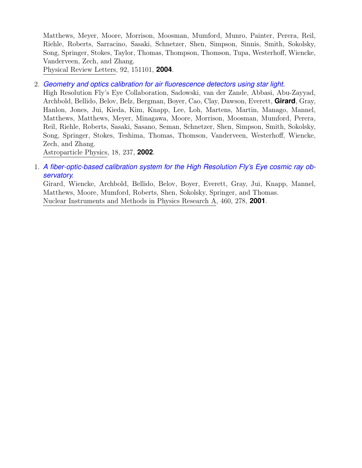Matthews, Meyer, Moore, Morrison, Moosman, Mumford, Munro, Painter, Perera, Reil, Riehle, Roberts, Sarracino, Sasaki, Schnetzer, Shen, Simpson, Sinnis, Smith, Sokolsky, Song, Springer, Stokes, Taylor, Thomas, Thompson, Thomson, Tupa, Westerhoff, Wiencke, Vanderveen, Zech, and Zhang.

Physical Review Letters, 92, 151101, **2004**.

2. *[Geometry and optics calibration for air fluorescence detectors using star light.](https://ui.adsabs.harvard.edu/abs/2002APh....18..237H)*

High Resolution Fly's Eye Collaboration, Sadowski, van der Zande, Abbasi, Abu-Zayyad, Archbold, Bellido, Belov, Belz, Bergman, Boyer, Cao, Clay, Dawson, Everett, **Girard**, Gray, Hanlon, Jones, Jui, Kieda, Kim, Knapp, Lee, Loh, Martens, Martin, Manago, Mannel, Matthews, Matthews, Meyer, Minagawa, Moore, Morrison, Moosman, Mumford, Perera, Reil, Riehle, Roberts, Sasaki, Sasano, Seman, Schnetzer, Shen, Simpson, Smith, Sokolsky, Song, Springer, Stokes, Teshima, Thomas, Thomson, Vanderveen, Westerhoff, Wiencke, Zech, and Zhang.

Astroparticle Physics, 18, 237, **2002**.

1. *[A fiber-optic-based calibration system for the High Resolution Fly's Eye cosmic ray ob](https://ui.adsabs.harvard.edu/abs/2001NIMPA.460..278G)[servatory.](https://ui.adsabs.harvard.edu/abs/2001NIMPA.460..278G)*

Girard, Wiencke, Archbold, Bellido, Belov, Boyer, Everett, Gray, Jui, Knapp, Mannel, Matthews, Moore, Mumford, Roberts, Shen, Sokolsky, Springer, and Thomas. Nuclear Instruments and Methods in Physics Research A, 460, 278, **2001**.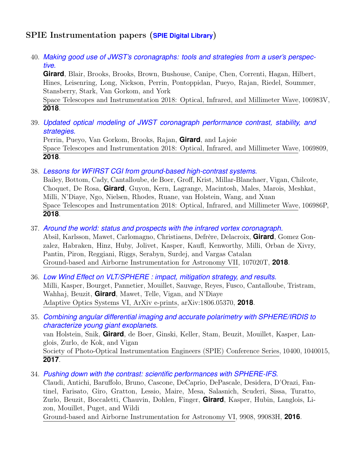## SPIE Instrumentation papers (**[SPIE Digital Library](https://www.spiedigitallibrary.org/profile/juliengirard)**)

40. *[Making good use of JWST's coronagraphs: tools and strategies from a user's perspec](https://doi.org/10.1117/12.2314198)[tive.](https://doi.org/10.1117/12.2314198)*

**Girard**, Blair, Brooks, Brooks, Brown, Bushouse, Canipe, Chen, Correnti, Hagan, Hilbert, Hines, Leisenring, Long, Nickson, Perrin, Pontoppidan, Pueyo, Rajan, Riedel, Soummer, Stansberry, Stark, Van Gorkom, and York

Space Telescopes and Instrumentation 2018: Optical, Infrared, and Millimeter Wave, 106983V, **2018**.

39. *[Updated optical modeling of JWST coronagraph performance contrast, stability, and](https://doi.org/10.1117/12.2313552) [strategies.](https://doi.org/10.1117/12.2313552)*

Perrin, Pueyo, Van Gorkom, Brooks, Rajan, **Girard**, and Lajoie Space Telescopes and Instrumentation 2018: Optical, Infrared, and Millimeter Wave, 1069809, **2018**.

38. *[Lessons for WFIRST CGI from ground-based high-contrast systems.](https://doi.org/10.1117/12.2313820)*

Bailey, Bottom, Cady, Cantalloube, de Boer, Groff, Krist, Millar-Blanchaer, Vigan, Chilcote, Choquet, De Rosa, **Girard**, Guyon, Kern, Lagrange, Macintosh, Males, Marois, Meshkat, Milli, N'Diaye, Ngo, Nielsen, Rhodes, Ruane, van Holstein, Wang, and Xuan Space Telescopes and Instrumentation 2018: Optical, Infrared, and Millimeter Wave, 106986P, **2018**.

37. *[Around the world: status and prospects with the infrared vortex coronagraph.](https://doi.org/10.1117/12.2312783)*

Absil, Karlsson, Mawet, Carlomagno, Christiaens, Defrère, Delacroix, **Girard**, Gomez Gonzalez, Habraken, Hinz, Huby, Jolivet, Kasper, Kaufl, Kenworthy, Milli, Orban de Xivry, Pantin, Piron, Reggiani, Riggs, Serabyn, Surdej, and Vargas Catalan Ground-based and Airborne Instrumentation for Astronomy VII, 107020T, **2018**.

- 36. *[Low Wind Effect on VLT/SPHERE : impact, mitigation strategy, and results.](http://adsabs.harvard.edu/abs/2018arXiv180605370M)* Milli, Kasper, Bourget, Pannetier, Mouillet, Sauvage, Reyes, Fusco, Cantalloube, Tristram, Wahhaj, Beuzit, **Girard**, Mawet, Telle, Vigan, and N'Diaye Adaptive Optics Systems VI, ArXiv e-prints, arXiv:1806.05370, **2018**.
- 35. *[Combining angular differential imaging and accurate polarimetry with SPHERE/IRDIS to](http://adsabs.harvard.edu/abs/2017SPIE10400E..15V) [characterize young giant exoplanets.](http://adsabs.harvard.edu/abs/2017SPIE10400E..15V)* van Holstein, Snik, **Girard**, de Boer, Ginski, Keller, Stam, Beuzit, Mouillet, Kasper, Langlois, Zurlo, de Kok, and Vigan Society of Photo-Optical Instrumentation Engineers (SPIE) Conference Series, 10400, 1040015, **2017**.
- 34. *[Pushing down with the contrast: scientific performances with SPHERE-IFS.](http://adsabs.harvard.edu/abs/2016SPIE.9908E..3HC)* Claudi, Antichi, Baruffolo, Bruno, Cascone, DeCaprio, DePascale, Desidera, D'Orazi, Fantinel, Farisato, Giro, Gratton, Lessio, Maire, Mesa, Salasnich, Scuderi, Sissa, Turatto,

Zurlo, Beuzit, Boccaletti, Chauvin, Dohlen, Finger, **Girard**, Kasper, Hubin, Langlois, Lizon, Mouillet, Puget, and Wildi

Ground-based and Airborne Instrumentation for Astronomy VI, 9908, 99083H, **2016**.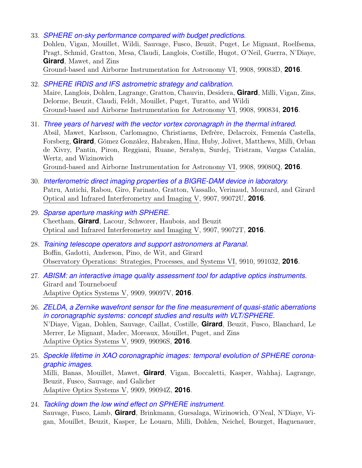- 33. *[SPHERE on-sky performance compared with budget predictions.](http://adsabs.harvard.edu/abs/2016SPIE.9908E..3DD)* Dohlen, Vigan, Mouillet, Wildi, Sauvage, Fusco, Beuzit, Puget, Le Mignant, Roelfsema, Pragt, Schmid, Gratton, Mesa, Claudi, Langlois, Costille, Hugot, O'Neil, Guerra, N'Diaye, **Girard**, Mawet, and Zins Ground-based and Airborne Instrumentation for Astronomy VI, 9908, 99083D, **2016**.
- 32. *[SPHERE IRDIS and IFS astrometric strategy and calibration.](http://adsabs.harvard.edu/abs/2016SPIE.9908E..34M)* Maire, Langlois, Dohlen, Lagrange, Gratton, Chauvin, Desidera, **Girard**, Milli, Vigan, Zins, Delorme, Beuzit, Claudi, Feldt, Mouillet, Puget, Turatto, and Wildi Ground-based and Airborne Instrumentation for Astronomy VI, 9908, 990834, **2016**.
- 31. *[Three years of harvest with the vector vortex coronagraph in the thermal infrared.](http://adsabs.harvard.edu/abs/2016SPIE.9908E..0QA)* Absil, Mawet, Karlsson, Carlomagno, Christiaens, Defrère, Delacroix, Femenía Castella, Forsberg, **Girard**, Gómez González, Habraken, Hinz, Huby, Jolivet, Matthews, Milli, Orban de Xivry, Pantin, Piron, Reggiani, Ruane, Serabyn, Surdej, Tristram, Vargas Catalán, Wertz, and Wizinowich Ground-based and Airborne Instrumentation for Astronomy VI, 9908, 99080Q, **2016**.
- 30. *[Interferometric direct imaging properties of a BIGRE-DAM device in laboratory.](http://adsabs.harvard.edu/abs/2016SPIE.9907E..2UP)* Patru, Antichi, Rabou, Giro, Farinato, Gratton, Vassallo, Verinaud, Mourard, and Girard Optical and Infrared Interferometry and Imaging V, 9907, 99072U, **2016**.
- 29. *[Sparse aperture masking with SPHERE.](http://adsabs.harvard.edu/abs/2016SPIE.9907E..2TC)* Cheetham, **Girard**, Lacour, Schworer, Haubois, and Beuzit Optical and Infrared Interferometry and Imaging V, 9907, 99072T, **2016**.
- 28. *[Training telescope operators and support astronomers at Paranal.](http://adsabs.harvard.edu/abs/2016SPIE.9910E..32B)* Boffin, Gadotti, Anderson, Pino, de Wit, and Girard Observatory Operations: Strategies, Processes, and Systems VI, 9910, 991032, **2016**.
- 27. *[ABISM: an interactive image quality assessment tool for adaptive optics instruments.](http://adsabs.harvard.edu/abs/2016SPIE.9909E..7VG)* Girard and Tourneboeuf Adaptive Optics Systems V, 9909, 99097V, **2016**.
- 26. *[ZELDA, a Zernike wavefront sensor for the fine measurement of quasi-static aberrations](http://adsabs.harvard.edu/abs/2016SPIE.9909E..6SN) [in coronagraphic systems: concept studies and results with VLT/SPHERE.](http://adsabs.harvard.edu/abs/2016SPIE.9909E..6SN)* N'Diaye, Vigan, Dohlen, Sauvage, Caillat, Costille, **Girard**, Beuzit, Fusco, Blanchard, Le Merrer, Le Mignant, Madec, Moreaux, Mouillet, Puget, and Zins Adaptive Optics Systems V, 9909, 99096S, **2016**.
- 25. *[Speckle lifetime in XAO coronagraphic images: temporal evolution of SPHERE corona](http://adsabs.harvard.edu/abs/2016SPIE.9909E..4ZM)[graphic images.](http://adsabs.harvard.edu/abs/2016SPIE.9909E..4ZM)* Milli, Banas, Mouillet, Mawet, **Girard**, Vigan, Boccaletti, Kasper, Wahhaj, Lagrange, Beuzit, Fusco, Sauvage, and Galicher Adaptive Optics Systems V, 9909, 99094Z, **2016**.
- 24. *[Tackling down the low wind effect on SPHERE instrument.](http://adsabs.harvard.edu/abs/2016SPIE.9909E..16S)* Sauvage, Fusco, Lamb, **Girard**, Brinkmann, Guesalaga, Wizinowich, O'Neal, N'Diaye, Vigan, Mouillet, Beuzit, Kasper, Le Louarn, Milli, Dohlen, Neichel, Bourget, Haguenauer,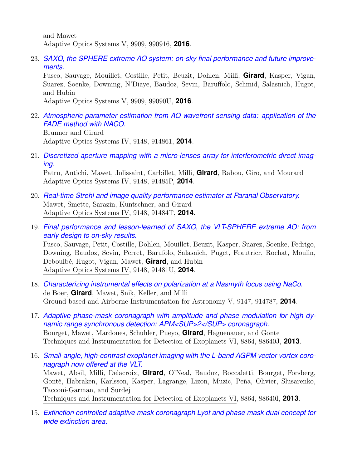and Mawet Adaptive Optics Systems V, 9909, 990916, **2016**.

23. *[SAXO, the SPHERE extreme AO system: on-sky final performance and future improve](http://adsabs.harvard.edu/abs/2016SPIE.9909E..0UF)[ments.](http://adsabs.harvard.edu/abs/2016SPIE.9909E..0UF)*

Fusco, Sauvage, Mouillet, Costille, Petit, Beuzit, Dohlen, Milli, **Girard**, Kasper, Vigan, Suarez, Soenke, Downing, N'Diaye, Baudoz, Sevin, Baruffolo, Schmid, Salasnich, Hugot, and Hubin

Adaptive Optics Systems V, 9909, 99090U, **2016**.

22. *[Atmospheric parameter estimation from AO wavefront sensing data: application of the](http://adsabs.harvard.edu/abs/2014SPIE.9148E..61B) [FADE method with NACO.](http://adsabs.harvard.edu/abs/2014SPIE.9148E..61B)* Brunner and Girard

Adaptive Optics Systems IV, 9148, 914861, **2014**.

21. *[Discretized aperture mapping with a micro-lenses array for interferometric direct imag](http://adsabs.harvard.edu/abs/2014SPIE.9148E..5PP)[ing.](http://adsabs.harvard.edu/abs/2014SPIE.9148E..5PP)*

Patru, Antichi, Mawet, Jolissaint, Carbillet, Milli, **Girard**, Rabou, Giro, and Mourard Adaptive Optics Systems IV, 9148, 91485P, **2014**.

- 20. *[Real-time Strehl and image quality performance estimator at Paranal Observatory.](http://adsabs.harvard.edu/abs/2014SPIE.9148E..4TM)* Mawet, Smette, Sarazin, Kuntschner, and Girard Adaptive Optics Systems IV, 9148, 91484T, **2014**.
- 19. *[Final performance and lesson-learned of SAXO, the VLT-SPHERE extreme AO: from](http://adsabs.harvard.edu/abs/2014SPIE.9148E..1UF) [early design to on-sky results.](http://adsabs.harvard.edu/abs/2014SPIE.9148E..1UF)* Fusco, Sauvage, Petit, Costille, Dohlen, Mouillet, Beuzit, Kasper, Suarez, Soenke, Fedrigo, Downing, Baudoz, Sevin, Perret, Barufolo, Salasnich, Puget, Feautrier, Rochat, Moulin, Deboulbé, Hugot, Vigan, Mawet, **Girard**, and Hubin Adaptive Optics Systems IV, 9148, 91481U, **2014**.
- 18. *[Characterizing instrumental effects on polarization at a Nasmyth focus using NaCo.](http://adsabs.harvard.edu/abs/2014SPIE.9147E..87D)* de Boer, **Girard**, Mawet, Snik, Keller, and Milli Ground-based and Airborne Instrumentation for Astronomy V, 9147, 914787, **2014**.
- 17. *[Adaptive phase-mask coronagraph with amplitude and phase modulation for high dy](http://adsabs.harvard.edu/abs/2013SPIE.8864E..0JB)[namic range synchronous detection: APM<SUP>2</SUP> coronagraph.](http://adsabs.harvard.edu/abs/2013SPIE.8864E..0JB)* Bourget, Mawet, Mardones, Schuhler, Pueyo, **Girard**, Haguenauer, and Gonte Techniques and Instrumentation for Detection of Exoplanets VI, 8864, 88640J, **2013**.
- 16. *[Small-angle, high-contrast exoplanet imaging with the L-band AGPM vector vortex coro](http://adsabs.harvard.edu/abs/2013SPIE.8864E..0IM)[nagraph now offered at the VLT.](http://adsabs.harvard.edu/abs/2013SPIE.8864E..0IM)*

Mawet, Absil, Milli, Delacroix, **Girard**, O'Neal, Baudoz, Boccaletti, Bourget, Forsberg, Gonté, Habraken, Karlsson, Kasper, Lagrange, Lizon, Muzic, Peña, Olivier, Slusarenko, Tacconi-Garman, and Surdej Techniques and Instrumentation for Detection of Exoplanets VI, 8864, 88640I, **2013**.

15. *[Extinction controlled adaptive mask coronagraph Lyot and phase mask dual concept for](http://adsabs.harvard.edu/abs/2012SPIE.8450E..5IB) [wide extinction area.](http://adsabs.harvard.edu/abs/2012SPIE.8450E..5IB)*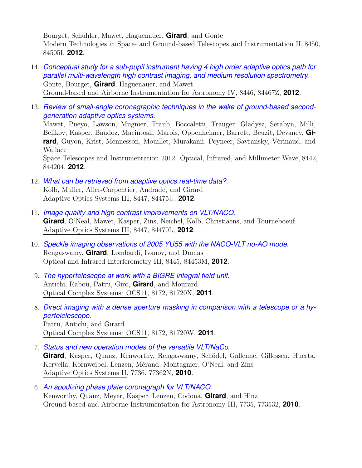Bourget, Schuhler, Mawet, Haguenauer, **Girard**, and Gonte Modern Technologies in Space- and Ground-based Telescopes and Instrumentation II, 8450, 84505I, **2012**.

- 14. *[Conceptual study for a sub-pupil instrument having 4 high order adaptive optics path for](http://adsabs.harvard.edu/abs/2012SPIE.8446E..7ZG) [parallel multi-wavelength high contrast imaging, and medium resolution spectrometry.](http://adsabs.harvard.edu/abs/2012SPIE.8446E..7ZG)* Gonte, Bourget, **Girard**, Haguenauer, and Mawet Ground-based and Airborne Instrumentation for Astronomy IV, 8446, 84467Z, **2012**.
- 13. *[Review of small-angle coronagraphic techniques in the wake of ground-based second](http://adsabs.harvard.edu/abs/2012SPIE.8442E..04M)[generation adaptive optics systems.](http://adsabs.harvard.edu/abs/2012SPIE.8442E..04M)* Mawet, Pueyo, Lawson, Mugnier, Traub, Boccaletti, Trauger, Gladysz, Serabyn, Milli, Belikov, Kasper, Baudoz, Macintosh, Marois, Oppenheimer, Barrett, Beuzit, Devaney, **Girard**, Guyon, Krist, Mennesson, Mouillet, Murakami, Poyneer, Savransky, Vérinaud, and Wallace

Space Telescopes and Instrumentation 2012: Optical, Infrared, and Millimeter Wave, 8442, 844204, **2012**.

- 12. *[What can be retrieved from adaptive optics real-time data?.](http://adsabs.harvard.edu/abs/2012SPIE.8447E..5UK)* Kolb, Muller, Aller-Carpentier, Andrade, and Girard Adaptive Optics Systems III, 8447, 84475U, **2012**.
- 11. *[Image quality and high contrast improvements on VLT/NACO.](http://adsabs.harvard.edu/abs/2012SPIE.8447E..0LG)* **Girard**, O'Neal, Mawet, Kasper, Zins, Neichel, Kolb, Christiaens, and Tourneboeuf Adaptive Optics Systems III, 8447, 84470L, **2012**.
- 10. *[Speckle imaging observations of 2005 YU55 with the NACO-VLT no-AO mode.](http://adsabs.harvard.edu/abs/2012SPIE.8445E..3MR)* Rengaswamy, **Girard**, Lombardi, Ivanov, and Dumas Optical and Infrared Interferometry III, 8445, 84453M, **2012**.
- 9. *[The hypertelescope at work with a BIGRE integral field unit.](http://adsabs.harvard.edu/abs/2011SPIE.8172E..0XA)* Antichi, Rabou, Patru, Giro, **Girard**, and Mourard Optical Complex Systems: OCS11, 8172, 81720X, **2011**.
- 8. *[Direct imaging with a dense aperture masking in comparison with a telescope or a hy](http://adsabs.harvard.edu/abs/2011SPIE.8172E..0WP)[pertelelescope.](http://adsabs.harvard.edu/abs/2011SPIE.8172E..0WP)* Patru, Antichi, and Girard Optical Complex Systems: OCS11, 8172, 81720W, **2011**.
- 7. *[Status and new operation modes of the versatile VLT/NaCo.](http://adsabs.harvard.edu/abs/2010SPIE.7736E..2NG)* **Girard**, Kasper, Quanz, Kenworthy, Rengaswamy, Schödel, Gallenne, Gillessen, Huerta, Kervella, Kornweibel, Lenzen, Mérand, Montagnier, O'Neal, and Zins Adaptive Optics Systems II, 7736, 77362N, **2010**.
- 6. *[An apodizing phase plate coronagraph for VLT/NACO.](http://adsabs.harvard.edu/abs/2010SPIE.7735E..32K)* Kenworthy, Quanz, Meyer, Kasper, Lenzen, Codona, **Girard**, and Hinz Ground-based and Airborne Instrumentation for Astronomy III, 7735, 773532, **2010**.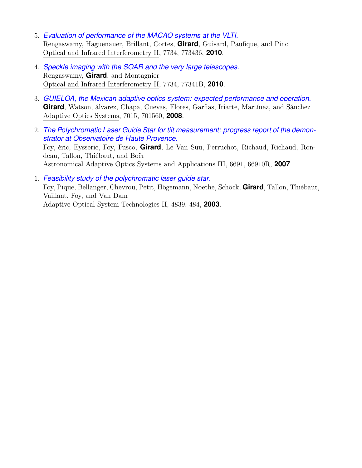- 5. *[Evaluation of performance of the MACAO systems at the VLTI.](http://adsabs.harvard.edu/abs/2010SPIE.7734E..36R)* Rengaswamy, Haguenauer, Brillant, Cortes, **Girard**, Guisard, Paufique, and Pino Optical and Infrared Interferometry II, 7734, 773436, **2010**.
- 4. *[Speckle imaging with the SOAR and the very large telescopes.](http://adsabs.harvard.edu/abs/2010SPIE.7734E..1BR)* Rengaswamy, **Girard**, and Montagnier Optical and Infrared Interferometry II, 7734, 77341B, **2010**.
- 3. *[GUIELOA, the Mexican adaptive optics system: expected performance and operation.](http://adsabs.harvard.edu/abs/2008SPIE.7015E..60G)* **Girard**, Watson, álvarez, Chapa, Cuevas, Flores, Garfias, Iriarte, Martínez, and Sánchez Adaptive Optics Systems, 7015, 701560, **2008**.
- 2. *[The Polychromatic Laser Guide Star for tilt measurement: progress report of the demon](http://adsabs.harvard.edu/abs/2007SPIE.6691E..0RF)[strator at Observatoire de Haute Provence.](http://adsabs.harvard.edu/abs/2007SPIE.6691E..0RF)* Foy, éric, Eysseric, Foy, Fusco, **Girard**, Le Van Suu, Perruchot, Richaud, Richaud, Rondeau, Tallon, Thiébaut, and Boër Astronomical Adaptive Optics Systems and Applications III, 6691, 66910R, **2007**.
- 1. *[Feasibility study of the polychromatic laser guide star.](http://adsabs.harvard.edu/abs/2003SPIE.4839..484F)* Foy, Pique, Bellanger, Chevrou, Petit, Högemann, Noethe, Schöck, **Girard**, Tallon, Thiébaut, Vaillant, Foy, and Van Dam Adaptive Optical System Technologies II, 4839, 484, **2003**.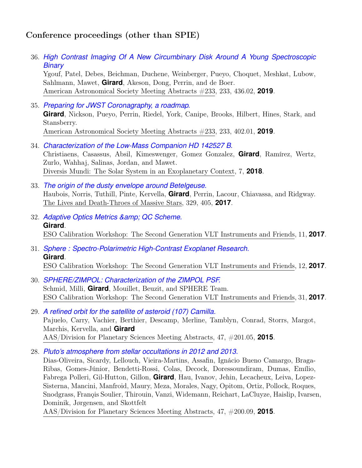# Conference proceedings (other than SPIE)

36. *[High Contrast Imaging Of A New Circumbinary Disk Around A Young Spectroscopic](https://ui.adsabs.harvard.edu/abs/2019AAS...23343602Y) [Binary](https://ui.adsabs.harvard.edu/abs/2019AAS...23343602Y)*

Ygouf, Patel, Debes, Beichman, Duchene, Weinberger, Pueyo, Choquet, Meshkat, Lubow, Sahlmann, Mawet, **Girard**, Akeson, Dong, Perrin, and de Boer. American Astronomical Society Meeting Abstracts #233, 233, 436.02, **2019**.

- 35. *[Preparing for JWST Coronagraphy, a roadmap.](https://ui.adsabs.harvard.edu/abs/2019AAS...23340201G)* **Girard**, Nickson, Pueyo, Perrin, Riedel, York, Canipe, Brooks, Hilbert, Hines, Stark, and Stansberry. American Astronomical Society Meeting Abstracts #233, 233, 402.01, **2019**.
- 34. *[Characterization of the Low-Mass Companion HD 142527 B.](https://ui.adsabs.harvard.edu/abs/2018dmss.confE...7C)* Christiaens, Casassus, Absil, Kimeswenger, Gomez Gonzalez, **Girard**, Ramírez, Wertz, Zurlo, Wahhaj, Salinas, Jordan, and Mawet. Diversis Mundi: The Solar System in an Exoplanetary Context, 7, **2018**.
- 33. *[The origin of the dusty envelope around Betelgeuse.](https://ui.adsabs.harvard.edu/abs/2017IAUS..329..405H)* Haubois, Norris, Tuthill, Pinte, Kervella, **Girard**, Perrin, Lacour, Chiavassa, and Ridgway. The Lives and Death-Throes of Massive Stars, 329, 405, **2017**.
- 32. *[Adaptive Optics Metrics & QC Scheme.](https://ui.adsabs.harvard.edu/abs/2017sgvi.confE..11G)* **Girard**. ESO Calibration Workshop: The Second Generation VLT Instruments and Friends, 11, **2017**.
- 31. *[Sphere : Spectro-Polarimetric High-Contrast Exoplanet Research.](https://ui.adsabs.harvard.edu/abs/2017sgvi.confE..12G)* **Girard**. ESO Calibration Workshop: The Second Generation VLT Instruments and Friends, 12, **2017**.
- 30. *[SPHERE/ZIMPOL: Characterization of the ZIMPOL PSF.](https://ui.adsabs.harvard.edu/abs/2017sgvi.confE..31S)* Schmid, Milli, **Girard**, Mouillet, Beuzit, and SPHERE Team. ESO Calibration Workshop: The Second Generation VLT Instruments and Friends, 31, **2017**.
- 29. *[A refined orbit for the satellite of asteroid \(107\) Camilla.](http://adsabs.harvard.edu/abs/2015DPS....4720105P)* Pajuelo, Carry, Vachier, Berthier, Descamp, Merline, Tamblyn, Conrad, Storrs, Margot, Marchis, Kervella, and **Girard** AAS/Division for Planetary Sciences Meeting Abstracts, 47, #201.05, **2015**.
- 28. *[Pluto's atmosphere from stellar occultations in 2012 and 2013.](http://adsabs.harvard.edu/abs/2015DPS....4720009D)*

Dias-Oliveira, Sicardy, Lellouch, Vieira-Martins, Assafin, Ignácio Bueno Camargo, Braga-Ribas, Gomes-Júnior, Bendetti-Rossi, Colas, Decock, Doressoundiram, Dumas, Emílio, Fabrega Polleri, Gil-Hutton, Gillon, **Girard**, Hau, Ivanov, Jehin, Lecacheux, Leiva, Lopez-Sisterna, Mancini, Manfroid, Maury, Meza, Morales, Nagy, Opitom, Ortiz, Pollock, Roques, Snodgrass, Françis Soulier, Thirouin, Vanzi, Widemann, Reichart, LaCluyze, Haislip, Ivarsen, Dominik, Jørgensen, and Skottfelt

AAS/Division for Planetary Sciences Meeting Abstracts, 47, #200.09, **2015**.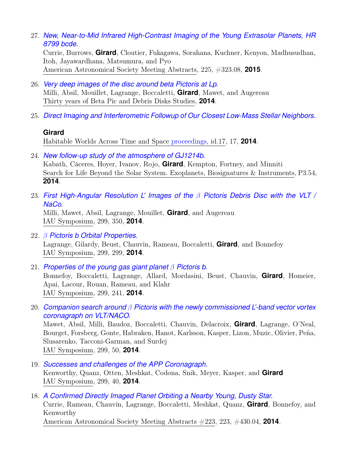27. *[New, Near-to-Mid Infrared High-Contrast Imaging of the Young Extrasolar Planets, HR](http://adsabs.harvard.edu/abs/2015AAS...22532308C) [8799 bcde.](http://adsabs.harvard.edu/abs/2015AAS...22532308C)*

Currie, Burrows, **Girard**, Cloutier, Fukagawa, Sorahana, Kuchner, Kenyon, Madhusudhan, Itoh, Jayawardhana, Matsumura, and Pyo American Astronomical Society Meeting Abstracts, 225, #323.08, **2015**.

- 26. *[Very deep images of the disc around beta Pictoris at Lp.](http://adsabs.harvard.edu/abs/2014tybp.confE..52M)* Milli, Absil, Mouillet, Lagrange, Boccaletti, **Girard**, Mawet, and Augereau Thirty years of Beta Pic and Debris Disks Studies, **2014**.
- 25. *[Direct Imaging and Interferometric Followup of Our Closest Low-Mass Stellar Neighbors.](http://adsabs.harvard.edu/abs/2014hwat.confE..17G)*

## **Girard**

Habitable Worlds Across Time and Space [proceedings,](http://www.stsci.edu/institute/conference/habitable-worlds) id.17, 17, **2014**.

24. *[New follow-up study of the atmosphere of GJ1214b.](http://adsabs.harvard.edu/abs/2014ebi..confP3.54K)*

Kabath, Cáceres, Hoyer, Ivanov, Rojo, **Girard**, Kempton, Fortney, and Minniti Search for Life Beyond the Solar System. Exoplanets, Biosignatures & Instruments, P3.54, **2014**.

23. *[First High-Angular Resolution L' Images of the](http://adsabs.harvard.edu/abs/2014IAUS..299..350M)* β *Pictoris Debris Disc with the VLT / [NaCo.](http://adsabs.harvard.edu/abs/2014IAUS..299..350M)*

Milli, Mawet, Absil, Lagrange, Mouillet, **Girard**, and Augereau IAU Symposium, 299, 350, **2014**.

- 22. β *[Pictoris b Orbital Properties.](http://adsabs.harvard.edu/abs/2014IAUS..299..299L)* Lagrange, Gilardy, Beust, Chauvin, Rameau, Boccaletti, **Girard**, and Bonnefoy IAU Symposium, 299, 299, **2014**.
- 21. *[Properties of the young gas giant planet](http://adsabs.harvard.edu/abs/2014IAUS..299..241B)* β *Pictoris b.* Bonnefoy, Boccaletti, Lagrange, Allard, Mordasini, Beust, Chauvin, **Girard**, Homeier, Apai, Lacour, Rouan, Rameau, and Klahr IAU Symposium, 299, 241, **2014**.
- 20. *Companion search around* β *[Pictoris with the newly commissioned L'-band vector vortex](http://adsabs.harvard.edu/abs/2014IAUS..299...50M) [coronagraph on VLT/NACO.](http://adsabs.harvard.edu/abs/2014IAUS..299...50M)*

Mawet, Absil, Milli, Baudoz, Boccaletti, Chauvin, Delacroix, **Girard**, Lagrange, O'Neal, Bourget, Forsberg, Gonte, Habraken, Hanot, Karlsson, Kasper, Lizon, Muzic, Olivier, Peña, Slusarenko, Tacconi-Garman, and Surdej IAU Symposium, 299, 50, **2014**.

- 19. *[Successes and challenges of the APP Coronagraph.](http://adsabs.harvard.edu/abs/2014IAUS..299...40K)* Kenworthy, Quanz, Otten, Meshkat, Codona, Snik, Meyer, Kasper, and **Girard** IAU Symposium, 299, 40, **2014**.
- 18. *[A Confirmed Directly Imaged Planet Orbiting a Nearby Young, Dusty Star.](http://adsabs.harvard.edu/abs/2014AAS...22343004C)* Currie, Rameau, Chauvin, Lagrange, Boccaletti, Meshkat, Quanz, **Girard**, Bonnefoy, and Kenworthy American Astronomical Society Meeting Abstracts #223, 223, #430.04, **2014**.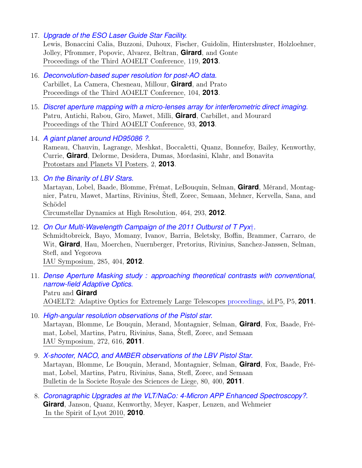17. *[Upgrade of the ESO Laser Guide Star Facility.](http://adsabs.harvard.edu/abs/2013aoel.confE.119L)*

Lewis, Bonaccini Calia, Buzzoni, Duhoux, Fischer, Guidolin, Hintershuster, Holzloehner, Jolley, Pfrommer, Popovic, Alvarez, Beltran, **Girard**, and Gonte Proceedings of the Third AO4ELT Conference, 119, **2013**.

- 16. *[Deconvolution-based super resolution for post-AO data.](http://adsabs.harvard.edu/abs/2013aoel.confE.104C)* Carbillet, La Camera, Chesneau, Millour, **Girard**, and Prato Proceedings of the Third AO4ELT Conference, 104, **2013**.
- 15. *[Discret aperture mapping with a micro-lenses array for interferometric direct imaging.](http://adsabs.harvard.edu/abs/2013aoel.confE..93P)* Patru, Antichi, Rabou, Giro, Mawet, Milli, **Girard**, Carbillet, and Mourard Proceedings of the Third AO4ELT Conference, 93, **2013**.
- 14. *[A giant planet around HD95086 ?.](http://adsabs.harvard.edu/abs/2013prpl.conf2K013R)*

Rameau, Chauvin, Lagrange, Meshkat, Boccaletti, Quanz, Bonnefoy, Bailey, Kenworthy, Currie, **Girard**, Delorme, Desidera, Dumas, Mordasini, Klahr, and Bonavita Protostars and Planets VI Posters, 2, **2013**.

13. *[On the Binarity of LBV Stars.](http://adsabs.harvard.edu/abs/2012ASPC..464..293M)*

Martayan, Lobel, Baade, Blomme, Frémat, LeBouquin, Selman, **Girard**, Mérand, Montagnier, Patru, Mawet, Martins, Rivinius, Štefl, Zorec, Semaan, Mehner, Kervella, Sana, and Schödel

Circumstellar Dynamics at High Resolution, 464, 293, **2012**.

- 12. *[On Our Multi-Wavelength Campaign of the 2011 Outburst of T Pyx](http://adsabs.harvard.edu/abs/2012IAUS..285..404S)*†*.* Schmidtobreick, Bayo, Momany, Ivanov, Barria, Beletsky, Boffin, Brammer, Carraro, de Wit, **Girard**, Hau, Moerchen, Nuernberger, Pretorius, Rivinius, Sanchez-Janssen, Selman, Stefl, and Yegorova IAU Symposium, 285, 404, **2012**.
- 11. *[Dense Aperture Masking study : approaching theoretical contrasts with conventional,](http://adsabs.harvard.edu/abs/2011aoel.confP...5P) [narrow-field Adaptive Optics.](http://adsabs.harvard.edu/abs/2011aoel.confP...5P)* Patru and **Girard** AO4ELT2: Adaptive Optics for Extremely Large Telescopes [proceedings,](http://ao4elt2.lesia.obspm.fr) id.P5, P5, **2011**.
- 10. *[High-angular resolution observations of the Pistol star.](http://adsabs.harvard.edu/abs/2011IAUS..272..616M)* Martayan, Blomme, Le Bouquin, Merand, Montagnier, Selman, **Girard**, Fox, Baade, Frémat, Lobel, Martins, Patru, Rivinius, Sana, Štefl, Zorec, and Semaan IAU Symposium, 272, 616, **2011**.
- 9. *[X-shooter, NACO, and AMBER observations of the LBV Pistol Star.](http://adsabs.harvard.edu/abs/2011BSRSL..80..400M)* Martayan, Blomme, Le Bouquin, Merand, Montagnier, Selman, **Girard**, Fox, Baade, Frémat, Lobel, Martins, Patru, Rivinius, Sana, Stefl, Zorec, and Semaan Bulletin de la Societe Royale des Sciences de Liege, 80, 400, **2011**.
- 8. *[Coronagraphic Upgrades at the VLT/NaCo: 4-Micron APP Enhanced Spectroscopy?.](http://adsabs.harvard.edu/abs/2010lyot.confE..21G)* **Girard**, Janson, Quanz, Kenworthy, Meyer, Kasper, Lenzen, and Wehmeier In the Spirit of Lyot 2010, **2010**.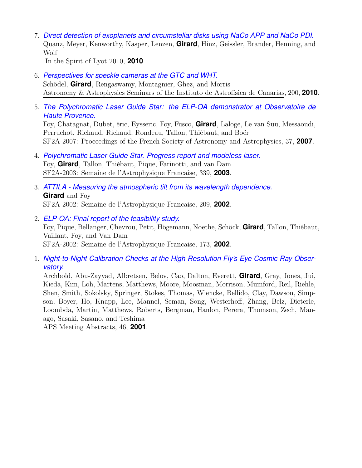7. *[Direct detection of exoplanets and circumstellar disks using NaCo APP and NaCo PDI.](http://adsabs.harvard.edu/abs/2010lyot.confE..14Q)* Quanz, Meyer, Kenworthy, Kasper, Lenzen, **Girard**, Hinz, Geissler, Brander, Henning, and Wolf

In the Spirit of Lyot 2010, **2010**.

- 6. *[Perspectives for speckle cameras at the GTC and WHT.](http://adsabs.harvard.edu/abs/2010iac..talk..200S)* Schödel, **Girard**, Rengaswamy, Montagnier, Ghez, and Morris Astronomy & Astrophysics Seminars of the Instituto de Astrofísica de Canarias, 200, **2010**.
- 5. *[The Polychromatic Laser Guide Star: the ELP-OA demonstrator at Observatoire de](http://adsabs.harvard.edu/abs/2007sf2a.conf...37F) [Haute Provence.](http://adsabs.harvard.edu/abs/2007sf2a.conf...37F)*

Foy, Chatagnat, Dubet, éric, Eysseric, Foy, Fusco, **Girard**, Laloge, Le van Suu, Messaoudi, Perruchot, Richaud, Richaud, Rondeau, Tallon, Thiébaut, and Boër SF2A-2007: Proceedings of the French Society of Astronomy and Astrophysics, 37, **2007**.

- 4. *[Polychromatic Laser Guide Star. Progress report and modeless laser.](http://adsabs.harvard.edu/abs/2003sf2a.conf..339F)* Foy, **Girard**, Tallon, Thiébaut, Pique, Farinotti, and van Dam SF2A-2003: Semaine de l'Astrophysique Francaise, 339, **2003**.
- 3. *[ATTILA Measuring the atmospheric tilt from its wavelength dependence.](http://adsabs.harvard.edu/abs/2002sf2a.conf..223G)* **Girard** and Foy SF2A-2002: Semaine de l'Astrophysique Francaise, 209, **2002**.
- 2. *[ELP-OA: Final report of the feasibility study.](http://adsabs.harvard.edu/abs/2002sf2a.conf..173F)* Foy, Pique, Bellanger, Chevrou, Petit, Högemann, Noethe, Schöck, **Girard**, Tallon, Thiébaut, Vaillant, Foy, and Van Dam SF2A-2002: Semaine de l'Astrophysique Francaise, 173, **2002**.
- 1. *[Night-to-Night Calibration Checks at the High Resolution Fly's Eye Cosmic Ray Obser](http://adsabs.harvard.edu/abs/2001APS..APRC14008A)[vatory.](http://adsabs.harvard.edu/abs/2001APS..APRC14008A)*

Archbold, Abu-Zayyad, Albretsen, Belov, Cao, Dalton, Everett, **Girard**, Gray, Jones, Jui, Kieda, Kim, Loh, Martens, Matthews, Moore, Moosman, Morrison, Mumford, Reil, Riehle, Shen, Smith, Sokolsky, Springer, Stokes, Thomas, Wiencke, Bellido, Clay, Dawson, Simpson, Boyer, Ho, Knapp, Lee, Mannel, Seman, Song, Westerhoff, Zhang, Belz, Dieterle, Loombda, Martin, Matthews, Roberts, Bergman, Hanlon, Perera, Thomson, Zech, Manago, Sasaki, Sasano, and Teshima

APS Meeting Abstracts, 46, **2001**.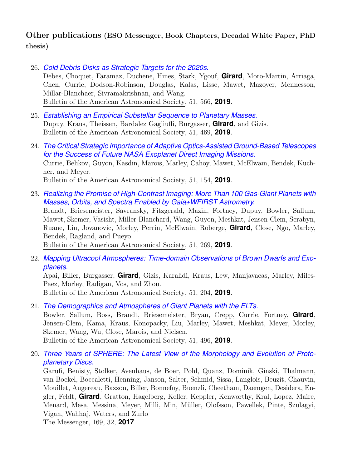## Other publications (ESO Messenger, Book Chapters, Decadal White Paper, PhD thesis)

- 26. *[Cold Debris Disks as Strategic Targets for the 2020s.](https://ui.adsabs.harvard.edu/abs/2019BAAS...51c.566D)* Debes, Choquet, Faramaz, Duchene, Hines, Stark, Ygouf, **Girard**, Moro-Martin, Arriaga, Chen, Currie, Dodson-Robinson, Douglas, Kalas, Lisse, Mawet, Mazoyer, Mennesson, Millar-Blanchaer, Sivramakrishnan, and Wang. Bulletin of the American Astronomical Society, 51, 566, **2019**.
- 25. *[Establishing an Empirical Substellar Sequence to Planetary Masses.](https://ui.adsabs.harvard.edu/abs/2019BAAS...51c.469D)* Dupuy, Kraus, Theissen, Bardalez Gagliuffi, Burgasser, **Girard**, and Gizis. Bulletin of the American Astronomical Society, 51, 469, **2019**.
- 24. *[The Critical Strategic Importance of Adaptive Optics-Assisted Ground-Based Telescopes](https://ui.adsabs.harvard.edu/abs/2019BAAS...51c.154C) [for the Success of Future NASA Exoplanet Direct Imaging Missions.](https://ui.adsabs.harvard.edu/abs/2019BAAS...51c.154C)* Currie, Belikov, Guyon, Kasdin, Marois, Marley, Cahoy, Mawet, McElwain, Bendek, Kuchner, and Meyer. Bulletin of the American Astronomical Society, 51, 154, **2019**.
- 23. *[Realizing the Promise of High-Contrast Imaging: More Than 100 Gas-Giant Planets with](https://ui.adsabs.harvard.edu/abs/2019BAAS...51c.269B) [Masses, Orbits, and Spectra Enabled by Gaia+WFIRST Astrometry.](https://ui.adsabs.harvard.edu/abs/2019BAAS...51c.269B)*

Brandt, Briesemeister, Savransky, Fitzgerald, Mazin, Fortney, Dupuy, Bowler, Sallum, Mawet, Skemer, Vasisht, Miller-Blanchard, Wang, Guyon, Meshkat, Jensen-Clem, Serabyn, Ruane, Liu, Jovanovic, Morley, Perrin, McElwain, Roberge, **Girard**, Close, Ngo, Marley, Bendek, Ragland, and Pueyo.

Bulletin of the American Astronomical Society, 51, 269, **2019**.

22. *[Mapping Ultracool Atmospheres: Time-domain Observations of Brown Dwarfs and Exo](https://ui.adsabs.harvard.edu/abs/2019BAAS...51c.204A)[planets.](https://ui.adsabs.harvard.edu/abs/2019BAAS...51c.204A)*

Apai, Biller, Burgasser, **Girard**, Gizis, Karalidi, Kraus, Lew, Manjavacas, Marley, Miles-Paez, Morley, Radigan, Vos, and Zhou. Bulletin of the American Astronomical Society, 51, 204, **2019**.

- 21. *[The Demographics and Atmospheres of Giant Planets with the ELTs.](https://ui.adsabs.harvard.edu/abs/2019BAAS...51c.496B)* Bowler, Sallum, Boss, Brandt, Briesemeister, Bryan, Crepp, Currie, Fortney, **Girard**, Jensen-Clem, Kama, Kraus, Konopacky, Liu, Marley, Mawet, Meshkat, Meyer, Morley, Skemer, Wang, Wu, Close, Marois, and Nielsen. Bulletin of the American Astronomical Society, 51, 496, **2019**.
- 20. *[Three Years of SPHERE: The Latest View of the Morphology and Evolution of Proto](http://adsabs.harvard.edu/abs/2017Msngr.169...32G)[planetary Discs.](http://adsabs.harvard.edu/abs/2017Msngr.169...32G)*

Garufi, Benisty, Stolker, Avenhaus, de Boer, Pohl, Quanz, Dominik, Ginski, Thalmann, van Boekel, Boccaletti, Henning, Janson, Salter, Schmid, Sissa, Langlois, Beuzit, Chauvin, Mouillet, Augereau, Bazzon, Biller, Bonnefoy, Buenzli, Cheetham, Daemgen, Desidera, Engler, Feldt, **Girard**, Gratton, Hagelberg, Keller, Keppler, Kenworthy, Kral, Lopez, Maire, Menard, Mesa, Messina, Meyer, Milli, Min, Müller, Olofsson, Pawellek, Pinte, Szulagyi, Vigan, Wahhaj, Waters, and Zurlo

The Messenger, 169, 32, **2017**.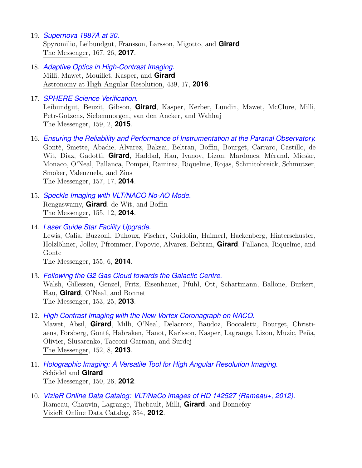- 19. *[Supernova 1987A at 30.](http://adsabs.harvard.edu/abs/2017Msngr.167...26S)* Spyromilio, Leibundgut, Fransson, Larsson, Migotto, and **Girard** The Messenger, 167, 26, **2017**.
- 18. *[Adaptive Optics in High-Contrast Imaging.](http://adsabs.harvard.edu/abs/2016ASSL..439...17M)* Milli, Mawet, Mouillet, Kasper, and **Girard** Astronomy at High Angular Resolution, 439, 17, **2016**.
- 17. *[SPHERE Science Verification.](http://adsabs.harvard.edu/abs/2015Msngr.159....2L)*

Leibundgut, Beuzit, Gibson, **Girard**, Kasper, Kerber, Lundin, Mawet, McClure, Milli, Petr-Gotzens, Siebenmorgen, van den Ancker, and Wahhaj The Messenger, 159, 2, **2015**.

- 16. *[Ensuring the Reliability and Performance of Instrumentation at the Paranal Observatory.](http://adsabs.harvard.edu/abs/2014Msngr.157...17G)* Gonté, Smette, Abadie, Alvarez, Baksai, Beltran, Boffin, Bourget, Carraro, Castillo, de Wit, Diaz, Gadotti, **Girard**, Haddad, Hau, Ivanov, Lizon, Mardones, Mérand, Mieske, Monaco, O'Neal, Pallanca, Pompei, Ramirez, Riquelme, Rojas, Schmitobreick, Schmutzer, Smoker, Valenzuela, and Zins The Messenger, 157, 17, **2014**.
- 15. *[Speckle Imaging with VLT/NACO No-AO Mode.](http://adsabs.harvard.edu/abs/2014Msngr.155...12R)* Rengaswamy, **Girard**, de Wit, and Boffin The Messenger, 155, 12, **2014**.
- 14. *[Laser Guide Star Facility Upgrade.](http://adsabs.harvard.edu/abs/2014Msngr.155....6L)*

Lewis, Calia, Buzzoni, Duhoux, Fischer, Guidolin, Haimerl, Hackenberg, Hinterschuster, Holzlöhner, Jolley, Pfrommer, Popovic, Alvarez, Beltran, **Girard**, Pallanca, Riquelme, and Gonte

The Messenger, 155, 6, **2014**.

- 13. *[Following the G2 Gas Cloud towards the Galactic Centre.](http://adsabs.harvard.edu/abs/2013Msngr.153...25W)* Walsh, Gillessen, Genzel, Fritz, Eisenhauer, Pfuhl, Ott, Schartmann, Ballone, Burkert, Hau, **Girard**, O'Neal, and Bonnet The Messenger, 153, 25, **2013**.
- 12. *[High Contrast Imaging with the New Vortex Coronagraph on NACO.](http://adsabs.harvard.edu/abs/2013Msngr.152....8M)*

Mawet, Absil, **Girard**, Milli, O'Neal, Delacroix, Baudoz, Boccaletti, Bourget, Christiaens, Forsberg, Gonté, Habraken, Hanot, Karlsson, Kasper, Lagrange, Lizon, Muzic, Peña, Olivier, Slusarenko, Tacconi-Garman, and Surdej The Messenger, 152, 8, **2013**.

- 11. *[Holographic Imaging: A Versatile Tool for High Angular Resolution Imaging.](http://adsabs.harvard.edu/abs/2012Msngr.150...26S)* Schödel and **Girard** The Messenger, 150, 26, **2012**.
- 10. *[VizieR Online Data Catalog: VLT/NaCo images of HD 142527 \(Rameau+, 2012\).](http://adsabs.harvard.edu/abs/2012yCat..35460024R)* Rameau, Chauvin, Lagrange, Thebault, Milli, **Girard**, and Bonnefoy VizieR Online Data Catalog, 354, **2012**.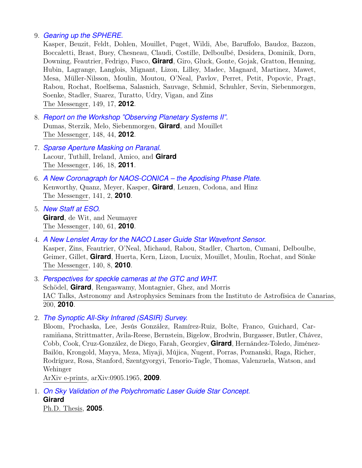#### 9. *[Gearing up the SPHERE.](http://adsabs.harvard.edu/abs/2012Msngr.149...17K)*

Kasper, Beuzit, Feldt, Dohlen, Mouillet, Puget, Wildi, Abe, Baruffolo, Baudoz, Bazzon, Boccaletti, Brast, Buey, Chesneau, Claudi, Costille, Delboulbé, Desidera, Dominik, Dorn, Downing, Feautrier, Fedrigo, Fusco, **Girard**, Giro, Gluck, Gonte, Gojak, Gratton, Henning, Hubin, Lagrange, Langlois, Mignant, Lizon, Lilley, Madec, Magnard, Martinez, Mawet, Mesa, Müller-Nilsson, Moulin, Moutou, O'Neal, Pavlov, Perret, Petit, Popovic, Pragt, Rabou, Rochat, Roelfsema, Salasnich, Sauvage, Schmid, Schuhler, Sevin, Siebenmorgen, Soenke, Stadler, Suarez, Turatto, Udry, Vigan, and Zins The Messenger, 149, 17, **2012**.

- 8. *[Report on the Workshop "Observing Planetary Systems II".](http://adsabs.harvard.edu/abs/2012Msngr.148...44D)* Dumas, Sterzik, Melo, Siebenmorgen, **Girard**, and Mouillet The Messenger, 148, 44, **2012**.
- 7. *[Sparse Aperture Masking on Paranal.](http://adsabs.harvard.edu/abs/2011Msngr.146...18L)* Lacour, Tuthill, Ireland, Amico, and **Girard** The Messenger, 146, 18, **2011**.
- 6. *[A New Coronagraph for NAOS-CONICA the Apodising Phase Plate.](http://adsabs.harvard.edu/abs/2010Msngr.141....2K)* Kenworthy, Quanz, Meyer, Kasper, **Girard**, Lenzen, Codona, and Hinz The Messenger, 141, 2, **2010**.
- 5. *[New Staff at ESO.](http://adsabs.harvard.edu/abs/2010Msngr.140...61G)* **Girard**, de Wit, and Neumayer The Messenger, 140, 61, **2010**.
- 4. *[A New Lenslet Array for the NACO Laser Guide Star Wavefront Sensor.](http://adsabs.harvard.edu/abs/2010Msngr.140....8K)* Kasper, Zins, Feautrier, O'Neal, Michaud, Rabou, Stadler, Charton, Cumani, Delboulbe, Geimer, Gillet, **Girard**, Huerta, Kern, Lizon, Lucuix, Mouillet, Moulin, Rochat, and Sönke The Messenger, 140, 8, **2010**.

3. *[Perspectives for speckle cameras at the GTC and WHT.](http://adsabs.harvard.edu/abs/2010iac..talk..200S)* Schödel, **Girard**, Rengaswamy, Montagnier, Ghez, and Morris IAC Talks, Astronomy and Astrophysics Seminars from the Instituto de Astrofísica de Canarias, 200, **2010**.

2. *[The Synoptic All-Sky Infrared \(SASIR\) Survey.](http://adsabs.harvard.edu/abs/2009arXiv0905.1965B)*

Bloom, Prochaska, Lee, Jesús González, Ramírez-Ruiz, Bolte, Franco, Guichard, Carramiñana, Strittmatter, Avila-Reese, Bernstein, Bigelow, Brodwin, Burgasser, Butler, Chávez, Cobb, Cook, Cruz-González, de Diego, Farah, Georgiev, **Girard**, Hernández-Toledo, Jiménez-Bailón, Krongold, Mayya, Meza, Miyaji, Mújica, Nugent, Porras, Poznanski, Raga, Richer, Rodríguez, Rosa, Stanford, Szentgyorgyi, Tenorio-Tagle, Thomas, Valenzuela, Watson, and Wehinger

ArXiv e-prints, arXiv:0905.1965, **2009**.

1. *[On Sky Validation of the Polychromatic Laser Guide Star Concept.](http://adsabs.harvard.edu/abs/2005PhDT........11G)* **Girard** Ph.D. Thesis, **2005**.